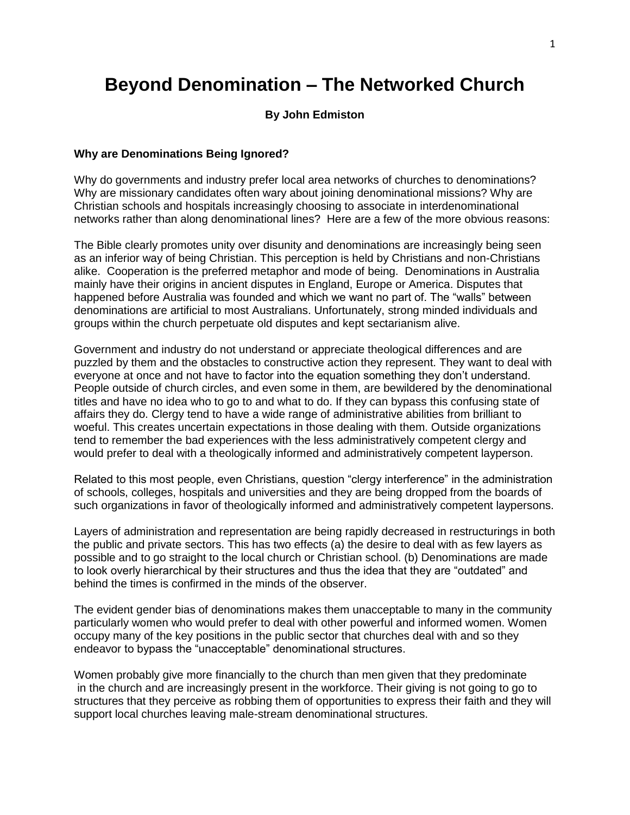# **Beyond Denomination – The Networked Church**

### **By John Edmiston**

#### **Why are Denominations Being Ignored?**

Why do governments and industry prefer local area networks of churches to denominations? Why are missionary candidates often wary about joining denominational missions? Why are Christian schools and hospitals increasingly choosing to associate in interdenominational networks rather than along denominational lines? Here are a few of the more obvious reasons:

The Bible clearly promotes unity over disunity and denominations are increasingly being seen as an inferior way of being Christian. This perception is held by Christians and non-Christians alike. Cooperation is the preferred metaphor and mode of being. Denominations in Australia mainly have their origins in ancient disputes in England, Europe or America. Disputes that happened before Australia was founded and which we want no part of. The "walls" between denominations are artificial to most Australians. Unfortunately, strong minded individuals and groups within the church perpetuate old disputes and kept sectarianism alive.

Government and industry do not understand or appreciate theological differences and are puzzled by them and the obstacles to constructive action they represent. They want to deal with everyone at once and not have to factor into the equation something they don't understand. People outside of church circles, and even some in them, are bewildered by the denominational titles and have no idea who to go to and what to do. If they can bypass this confusing state of affairs they do. Clergy tend to have a wide range of administrative abilities from brilliant to woeful. This creates uncertain expectations in those dealing with them. Outside organizations tend to remember the bad experiences with the less administratively competent clergy and would prefer to deal with a theologically informed and administratively competent layperson.

Related to this most people, even Christians, question "clergy interference" in the administration of schools, colleges, hospitals and universities and they are being dropped from the boards of such organizations in favor of theologically informed and administratively competent laypersons.

Layers of administration and representation are being rapidly decreased in restructurings in both the public and private sectors. This has two effects (a) the desire to deal with as few layers as possible and to go straight to the local church or Christian school. (b) Denominations are made to look overly hierarchical by their structures and thus the idea that they are "outdated" and behind the times is confirmed in the minds of the observer.

The evident gender bias of denominations makes them unacceptable to many in the community particularly women who would prefer to deal with other powerful and informed women. Women occupy many of the key positions in the public sector that churches deal with and so they endeavor to bypass the "unacceptable" denominational structures.

Women probably give more financially to the church than men given that they predominate in the church and are increasingly present in the workforce. Their giving is not going to go to structures that they perceive as robbing them of opportunities to express their faith and they will support local churches leaving male-stream denominational structures.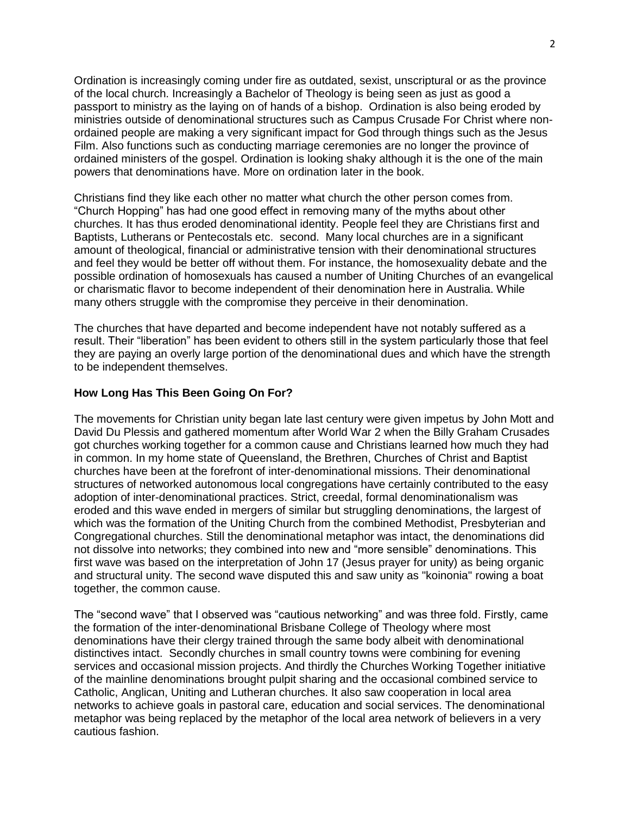Ordination is increasingly coming under fire as outdated, sexist, unscriptural or as the province of the local church. Increasingly a Bachelor of Theology is being seen as just as good a passport to ministry as the laying on of hands of a bishop. Ordination is also being eroded by ministries outside of denominational structures such as Campus Crusade For Christ where nonordained people are making a very significant impact for God through things such as the Jesus Film. Also functions such as conducting marriage ceremonies are no longer the province of ordained ministers of the gospel. Ordination is looking shaky although it is the one of the main powers that denominations have. More on ordination later in the book.

Christians find they like each other no matter what church the other person comes from. "Church Hopping" has had one good effect in removing many of the myths about other churches. It has thus eroded denominational identity. People feel they are Christians first and Baptists, Lutherans or Pentecostals etc. second. Many local churches are in a significant amount of theological, financial or administrative tension with their denominational structures and feel they would be better off without them. For instance, the homosexuality debate and the possible ordination of homosexuals has caused a number of Uniting Churches of an evangelical or charismatic flavor to become independent of their denomination here in Australia. While many others struggle with the compromise they perceive in their denomination.

The churches that have departed and become independent have not notably suffered as a result. Their "liberation" has been evident to others still in the system particularly those that feel they are paying an overly large portion of the denominational dues and which have the strength to be independent themselves.

## **How Long Has This Been Going On For?**

The movements for Christian unity began late last century were given impetus by John Mott and David Du Plessis and gathered momentum after World War 2 when the Billy Graham Crusades got churches working together for a common cause and Christians learned how much they had in common. In my home state of Queensland, the Brethren, Churches of Christ and Baptist churches have been at the forefront of inter-denominational missions. Their denominational structures of networked autonomous local congregations have certainly contributed to the easy adoption of inter-denominational practices. Strict, creedal, formal denominationalism was eroded and this wave ended in mergers of similar but struggling denominations, the largest of which was the formation of the Uniting Church from the combined Methodist, Presbyterian and Congregational churches. Still the denominational metaphor was intact, the denominations did not dissolve into networks; they combined into new and "more sensible" denominations. This first wave was based on the interpretation of John 17 (Jesus prayer for unity) as being organic and structural unity. The second wave disputed this and saw unity as "koinonia" rowing a boat together, the common cause.

The "second wave" that I observed was "cautious networking" and was three fold. Firstly, came the formation of the inter-denominational Brisbane College of Theology where most denominations have their clergy trained through the same body albeit with denominational distinctives intact. Secondly churches in small country towns were combining for evening services and occasional mission projects. And thirdly the Churches Working Together initiative of the mainline denominations brought pulpit sharing and the occasional combined service to Catholic, Anglican, Uniting and Lutheran churches. It also saw cooperation in local area networks to achieve goals in pastoral care, education and social services. The denominational metaphor was being replaced by the metaphor of the local area network of believers in a very cautious fashion.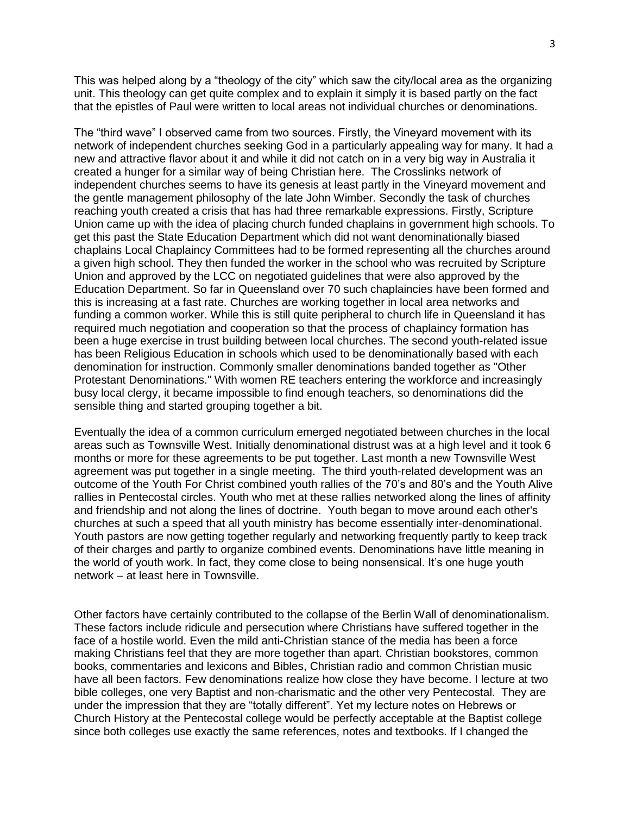This was helped along by a "theology of the city" which saw the city/local area as the organizing unit. This theology can get quite complex and to explain it simply it is based partly on the fact that the epistles of Paul were written to local areas not individual churches or denominations.

The "third wave" I observed came from two sources. Firstly, the Vineyard movement with its network of independent churches seeking God in a particularly appealing way for many. It had a new and attractive flavor about it and while it did not catch on in a very big way in Australia it created a hunger for a similar way of being Christian here. The Crosslinks network of independent churches seems to have its genesis at least partly in the Vineyard movement and the gentle management philosophy of the late John Wimber. Secondly the task of churches reaching youth created a crisis that has had three remarkable expressions. Firstly, Scripture Union came up with the idea of placing church funded chaplains in government high schools. To get this past the State Education Department which did not want denominationally biased chaplains Local Chaplaincy Committees had to be formed representing all the churches around a given high school. They then funded the worker in the school who was recruited by Scripture Union and approved by the LCC on negotiated guidelines that were also approved by the Education Department. So far in Queensland over 70 such chaplaincies have been formed and this is increasing at a fast rate. Churches are working together in local area networks and funding a common worker. While this is still quite peripheral to church life in Queensland it has required much negotiation and cooperation so that the process of chaplaincy formation has been a huge exercise in trust building between local churches. The second youth-related issue has been Religious Education in schools which used to be denominationally based with each denomination for instruction. Commonly smaller denominations banded together as "Other Protestant Denominations." With women RE teachers entering the workforce and increasingly busy local clergy, it became impossible to find enough teachers, so denominations did the sensible thing and started grouping together a bit.

Eventually the idea of a common curriculum emerged negotiated between churches in the local areas such as Townsville West. Initially denominational distrust was at a high level and it took 6 months or more for these agreements to be put together. Last month a new Townsville West agreement was put together in a single meeting. The third youth-related development was an outcome of the Youth For Christ combined youth rallies of the 70's and 80's and the Youth Alive rallies in Pentecostal circles. Youth who met at these rallies networked along the lines of affinity and friendship and not along the lines of doctrine. Youth began to move around each other's churches at such a speed that all youth ministry has become essentially inter-denominational. Youth pastors are now getting together regularly and networking frequently partly to keep track of their charges and partly to organize combined events. Denominations have little meaning in the world of youth work. In fact, they come close to being nonsensical. It's one huge youth network – at least here in Townsville.

Other factors have certainly contributed to the collapse of the Berlin Wall of denominationalism. These factors include ridicule and persecution where Christians have suffered together in the face of a hostile world. Even the mild anti-Christian stance of the media has been a force making Christians feel that they are more together than apart. Christian bookstores, common books, commentaries and lexicons and Bibles, Christian radio and common Christian music have all been factors. Few denominations realize how close they have become. I lecture at two bible colleges, one very Baptist and non-charismatic and the other very Pentecostal. They are under the impression that they are "totally different". Yet my lecture notes on Hebrews or Church History at the Pentecostal college would be perfectly acceptable at the Baptist college since both colleges use exactly the same references, notes and textbooks. If I changed the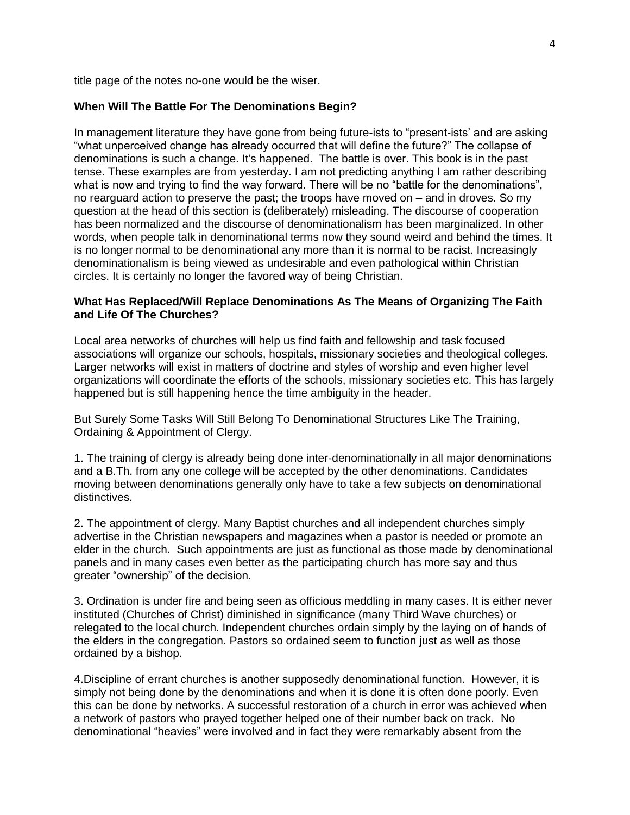title page of the notes no-one would be the wiser.

#### **When Will The Battle For The Denominations Begin?**

In management literature they have gone from being future-ists to "present-ists' and are asking "what unperceived change has already occurred that will define the future?" The collapse of denominations is such a change. It's happened. The battle is over. This book is in the past tense. These examples are from yesterday. I am not predicting anything I am rather describing what is now and trying to find the way forward. There will be no "battle for the denominations", no rearguard action to preserve the past; the troops have moved on – and in droves. So my question at the head of this section is (deliberately) misleading. The discourse of cooperation has been normalized and the discourse of denominationalism has been marginalized. In other words, when people talk in denominational terms now they sound weird and behind the times. It is no longer normal to be denominational any more than it is normal to be racist. Increasingly denominationalism is being viewed as undesirable and even pathological within Christian circles. It is certainly no longer the favored way of being Christian.

## **What Has Replaced/Will Replace Denominations As The Means of Organizing The Faith and Life Of The Churches?**

Local area networks of churches will help us find faith and fellowship and task focused associations will organize our schools, hospitals, missionary societies and theological colleges. Larger networks will exist in matters of doctrine and styles of worship and even higher level organizations will coordinate the efforts of the schools, missionary societies etc. This has largely happened but is still happening hence the time ambiguity in the header.

But Surely Some Tasks Will Still Belong To Denominational Structures Like The Training, Ordaining & Appointment of Clergy.

1. The training of clergy is already being done inter-denominationally in all major denominations and a B.Th. from any one college will be accepted by the other denominations. Candidates moving between denominations generally only have to take a few subjects on denominational distinctives.

2. The appointment of clergy. Many Baptist churches and all independent churches simply advertise in the Christian newspapers and magazines when a pastor is needed or promote an elder in the church. Such appointments are just as functional as those made by denominational panels and in many cases even better as the participating church has more say and thus greater "ownership" of the decision.

3. Ordination is under fire and being seen as officious meddling in many cases. It is either never instituted (Churches of Christ) diminished in significance (many Third Wave churches) or relegated to the local church. Independent churches ordain simply by the laying on of hands of the elders in the congregation. Pastors so ordained seem to function just as well as those ordained by a bishop.

4.Discipline of errant churches is another supposedly denominational function. However, it is simply not being done by the denominations and when it is done it is often done poorly. Even this can be done by networks. A successful restoration of a church in error was achieved when a network of pastors who prayed together helped one of their number back on track. No denominational "heavies" were involved and in fact they were remarkably absent from the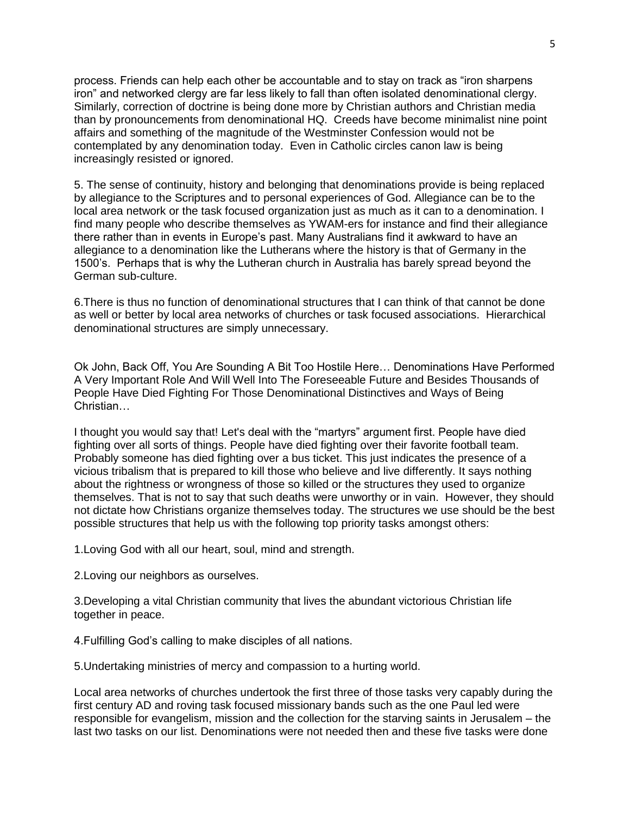process. Friends can help each other be accountable and to stay on track as "iron sharpens iron" and networked clergy are far less likely to fall than often isolated denominational clergy. Similarly, correction of doctrine is being done more by Christian authors and Christian media than by pronouncements from denominational HQ. Creeds have become minimalist nine point affairs and something of the magnitude of the Westminster Confession would not be contemplated by any denomination today. Even in Catholic circles canon law is being increasingly resisted or ignored.

5. The sense of continuity, history and belonging that denominations provide is being replaced by allegiance to the Scriptures and to personal experiences of God. Allegiance can be to the local area network or the task focused organization just as much as it can to a denomination. I find many people who describe themselves as YWAM-ers for instance and find their allegiance there rather than in events in Europe's past. Many Australians find it awkward to have an allegiance to a denomination like the Lutherans where the history is that of Germany in the 1500's. Perhaps that is why the Lutheran church in Australia has barely spread beyond the German sub-culture.

6.There is thus no function of denominational structures that I can think of that cannot be done as well or better by local area networks of churches or task focused associations. Hierarchical denominational structures are simply unnecessary.

Ok John, Back Off, You Are Sounding A Bit Too Hostile Here… Denominations Have Performed A Very Important Role And Will Well Into The Foreseeable Future and Besides Thousands of People Have Died Fighting For Those Denominational Distinctives and Ways of Being Christian…

I thought you would say that! Let's deal with the "martyrs" argument first. People have died fighting over all sorts of things. People have died fighting over their favorite football team. Probably someone has died fighting over a bus ticket. This just indicates the presence of a vicious tribalism that is prepared to kill those who believe and live differently. It says nothing about the rightness or wrongness of those so killed or the structures they used to organize themselves. That is not to say that such deaths were unworthy or in vain. However, they should not dictate how Christians organize themselves today. The structures we use should be the best possible structures that help us with the following top priority tasks amongst others:

1.Loving God with all our heart, soul, mind and strength.

2.Loving our neighbors as ourselves.

3.Developing a vital Christian community that lives the abundant victorious Christian life together in peace.

4.Fulfilling God's calling to make disciples of all nations.

5.Undertaking ministries of mercy and compassion to a hurting world.

Local area networks of churches undertook the first three of those tasks very capably during the first century AD and roving task focused missionary bands such as the one Paul led were responsible for evangelism, mission and the collection for the starving saints in Jerusalem – the last two tasks on our list. Denominations were not needed then and these five tasks were done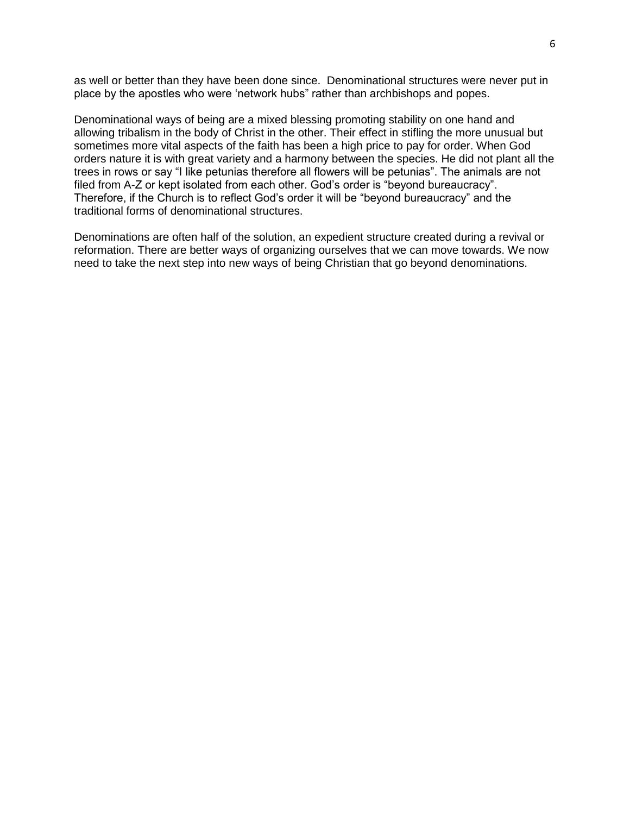as well or better than they have been done since. Denominational structures were never put in place by the apostles who were 'network hubs" rather than archbishops and popes.

Denominational ways of being are a mixed blessing promoting stability on one hand and allowing tribalism in the body of Christ in the other. Their effect in stifling the more unusual but sometimes more vital aspects of the faith has been a high price to pay for order. When God orders nature it is with great variety and a harmony between the species. He did not plant all the trees in rows or say "I like petunias therefore all flowers will be petunias". The animals are not filed from A-Z or kept isolated from each other. God's order is "beyond bureaucracy". Therefore, if the Church is to reflect God's order it will be "beyond bureaucracy" and the traditional forms of denominational structures.

Denominations are often half of the solution, an expedient structure created during a revival or reformation. There are better ways of organizing ourselves that we can move towards. We now need to take the next step into new ways of being Christian that go beyond denominations.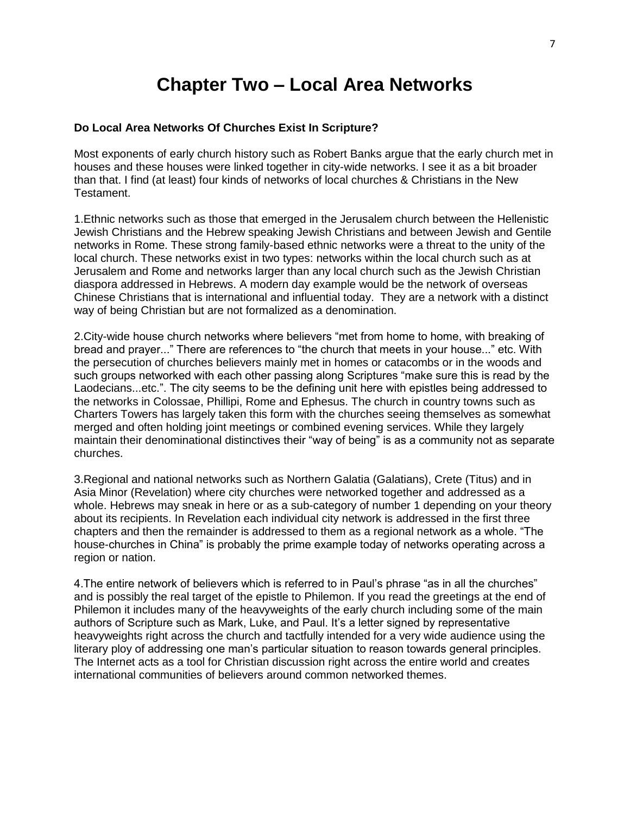# **Chapter Two – Local Area Networks**

### **Do Local Area Networks Of Churches Exist In Scripture?**

Most exponents of early church history such as Robert Banks argue that the early church met in houses and these houses were linked together in city-wide networks. I see it as a bit broader than that. I find (at least) four kinds of networks of local churches & Christians in the New Testament.

1.Ethnic networks such as those that emerged in the Jerusalem church between the Hellenistic Jewish Christians and the Hebrew speaking Jewish Christians and between Jewish and Gentile networks in Rome. These strong family-based ethnic networks were a threat to the unity of the local church. These networks exist in two types: networks within the local church such as at Jerusalem and Rome and networks larger than any local church such as the Jewish Christian diaspora addressed in Hebrews. A modern day example would be the network of overseas Chinese Christians that is international and influential today. They are a network with a distinct way of being Christian but are not formalized as a denomination.

2.City-wide house church networks where believers "met from home to home, with breaking of bread and prayer..." There are references to "the church that meets in your house..." etc. With the persecution of churches believers mainly met in homes or catacombs or in the woods and such groups networked with each other passing along Scriptures "make sure this is read by the Laodecians...etc.". The city seems to be the defining unit here with epistles being addressed to the networks in Colossae, Phillipi, Rome and Ephesus. The church in country towns such as Charters Towers has largely taken this form with the churches seeing themselves as somewhat merged and often holding joint meetings or combined evening services. While they largely maintain their denominational distinctives their "way of being" is as a community not as separate churches.

3.Regional and national networks such as Northern Galatia (Galatians), Crete (Titus) and in Asia Minor (Revelation) where city churches were networked together and addressed as a whole. Hebrews may sneak in here or as a sub-category of number 1 depending on your theory about its recipients. In Revelation each individual city network is addressed in the first three chapters and then the remainder is addressed to them as a regional network as a whole. "The house-churches in China" is probably the prime example today of networks operating across a region or nation.

4.The entire network of believers which is referred to in Paul's phrase "as in all the churches" and is possibly the real target of the epistle to Philemon. If you read the greetings at the end of Philemon it includes many of the heavyweights of the early church including some of the main authors of Scripture such as Mark, Luke, and Paul. It's a letter signed by representative heavyweights right across the church and tactfully intended for a very wide audience using the literary ploy of addressing one man's particular situation to reason towards general principles. The Internet acts as a tool for Christian discussion right across the entire world and creates international communities of believers around common networked themes.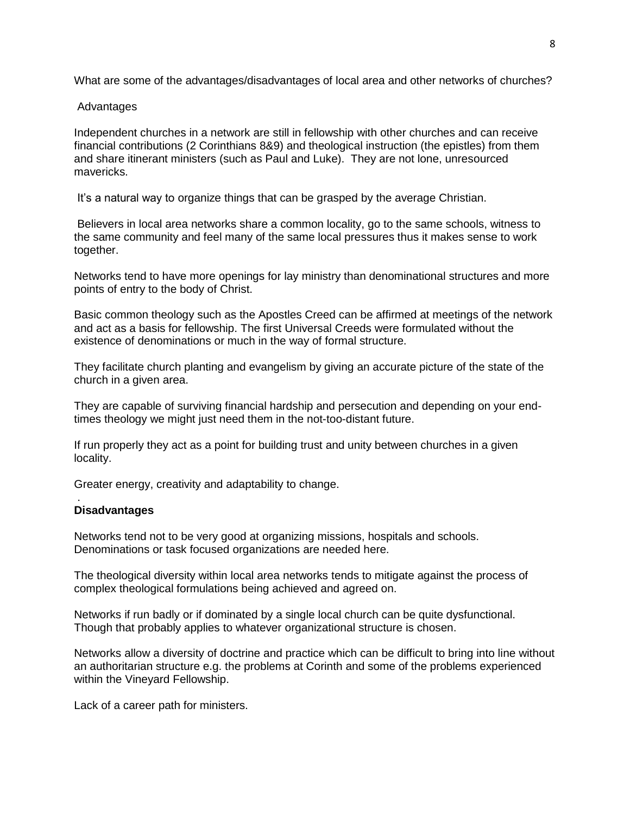What are some of the advantages/disadvantages of local area and other networks of churches?

## Advantages

Independent churches in a network are still in fellowship with other churches and can receive financial contributions (2 Corinthians 8&9) and theological instruction (the epistles) from them and share itinerant ministers (such as Paul and Luke). They are not lone, unresourced mavericks.

It's a natural way to organize things that can be grasped by the average Christian.

Believers in local area networks share a common locality, go to the same schools, witness to the same community and feel many of the same local pressures thus it makes sense to work together.

Networks tend to have more openings for lay ministry than denominational structures and more points of entry to the body of Christ.

Basic common theology such as the Apostles Creed can be affirmed at meetings of the network and act as a basis for fellowship. The first Universal Creeds were formulated without the existence of denominations or much in the way of formal structure.

They facilitate church planting and evangelism by giving an accurate picture of the state of the church in a given area.

They are capable of surviving financial hardship and persecution and depending on your endtimes theology we might just need them in the not-too-distant future.

If run properly they act as a point for building trust and unity between churches in a given locality.

Greater energy, creativity and adaptability to change.

### . **Disadvantages**

Networks tend not to be very good at organizing missions, hospitals and schools. Denominations or task focused organizations are needed here.

The theological diversity within local area networks tends to mitigate against the process of complex theological formulations being achieved and agreed on.

Networks if run badly or if dominated by a single local church can be quite dysfunctional. Though that probably applies to whatever organizational structure is chosen.

Networks allow a diversity of doctrine and practice which can be difficult to bring into line without an authoritarian structure e.g. the problems at Corinth and some of the problems experienced within the Vineyard Fellowship.

Lack of a career path for ministers.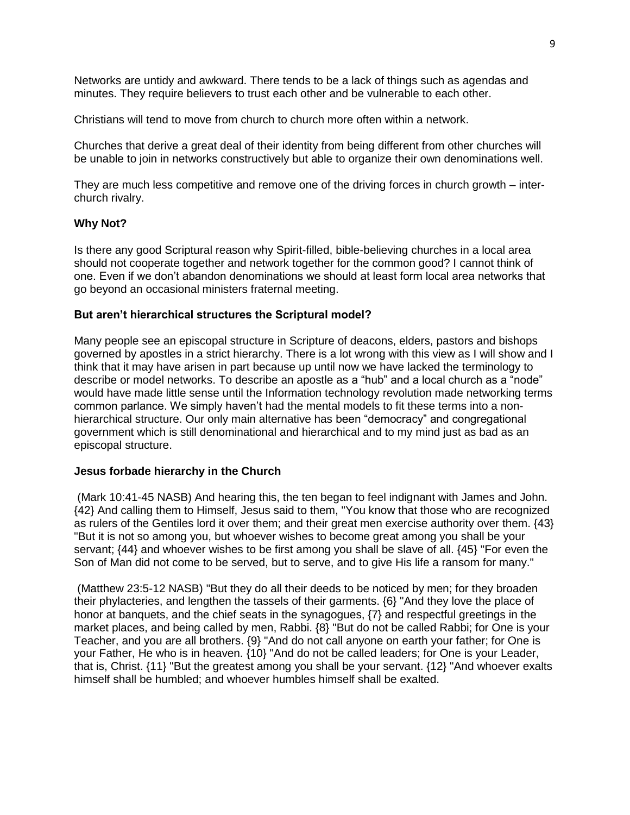Networks are untidy and awkward. There tends to be a lack of things such as agendas and minutes. They require believers to trust each other and be vulnerable to each other.

Christians will tend to move from church to church more often within a network.

Churches that derive a great deal of their identity from being different from other churches will be unable to join in networks constructively but able to organize their own denominations well.

They are much less competitive and remove one of the driving forces in church growth – interchurch rivalry.

### **Why Not?**

Is there any good Scriptural reason why Spirit-filled, bible-believing churches in a local area should not cooperate together and network together for the common good? I cannot think of one. Even if we don't abandon denominations we should at least form local area networks that go beyond an occasional ministers fraternal meeting.

#### **But aren't hierarchical structures the Scriptural model?**

Many people see an episcopal structure in Scripture of deacons, elders, pastors and bishops governed by apostles in a strict hierarchy. There is a lot wrong with this view as I will show and I think that it may have arisen in part because up until now we have lacked the terminology to describe or model networks. To describe an apostle as a "hub" and a local church as a "node" would have made little sense until the Information technology revolution made networking terms common parlance. We simply haven't had the mental models to fit these terms into a nonhierarchical structure. Our only main alternative has been "democracy" and congregational government which is still denominational and hierarchical and to my mind just as bad as an episcopal structure.

#### **Jesus forbade hierarchy in the Church**

(Mark 10:41-45 NASB) And hearing this, the ten began to feel indignant with James and John. {42} And calling them to Himself, Jesus said to them, "You know that those who are recognized as rulers of the Gentiles lord it over them; and their great men exercise authority over them. {43} "But it is not so among you, but whoever wishes to become great among you shall be your servant; {44} and whoever wishes to be first among you shall be slave of all. {45} "For even the Son of Man did not come to be served, but to serve, and to give His life a ransom for many."

(Matthew 23:5-12 NASB) "But they do all their deeds to be noticed by men; for they broaden their phylacteries, and lengthen the tassels of their garments. {6} "And they love the place of honor at banquets, and the chief seats in the synagogues, {7} and respectful greetings in the market places, and being called by men, Rabbi. {8} "But do not be called Rabbi; for One is your Teacher, and you are all brothers. {9} "And do not call anyone on earth your father; for One is your Father, He who is in heaven. {10} "And do not be called leaders; for One is your Leader, that is, Christ. {11} "But the greatest among you shall be your servant. {12} "And whoever exalts himself shall be humbled; and whoever humbles himself shall be exalted.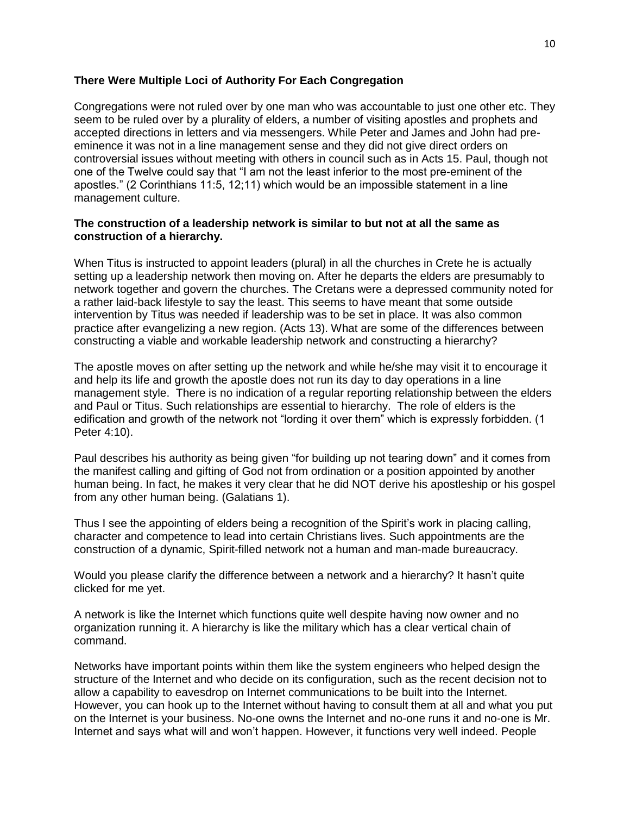## **There Were Multiple Loci of Authority For Each Congregation**

Congregations were not ruled over by one man who was accountable to just one other etc. They seem to be ruled over by a plurality of elders, a number of visiting apostles and prophets and accepted directions in letters and via messengers. While Peter and James and John had preeminence it was not in a line management sense and they did not give direct orders on controversial issues without meeting with others in council such as in Acts 15. Paul, though not one of the Twelve could say that "I am not the least inferior to the most pre-eminent of the apostles." (2 Corinthians 11:5, 12;11) which would be an impossible statement in a line management culture.

## **The construction of a leadership network is similar to but not at all the same as construction of a hierarchy.**

When Titus is instructed to appoint leaders (plural) in all the churches in Crete he is actually setting up a leadership network then moving on. After he departs the elders are presumably to network together and govern the churches. The Cretans were a depressed community noted for a rather laid-back lifestyle to say the least. This seems to have meant that some outside intervention by Titus was needed if leadership was to be set in place. It was also common practice after evangelizing a new region. (Acts 13). What are some of the differences between constructing a viable and workable leadership network and constructing a hierarchy?

The apostle moves on after setting up the network and while he/she may visit it to encourage it and help its life and growth the apostle does not run its day to day operations in a line management style. There is no indication of a regular reporting relationship between the elders and Paul or Titus. Such relationships are essential to hierarchy. The role of elders is the edification and growth of the network not "lording it over them" which is expressly forbidden. (1 Peter 4:10).

Paul describes his authority as being given "for building up not tearing down" and it comes from the manifest calling and gifting of God not from ordination or a position appointed by another human being. In fact, he makes it very clear that he did NOT derive his apostleship or his gospel from any other human being. (Galatians 1).

Thus I see the appointing of elders being a recognition of the Spirit's work in placing calling, character and competence to lead into certain Christians lives. Such appointments are the construction of a dynamic, Spirit-filled network not a human and man-made bureaucracy.

Would you please clarify the difference between a network and a hierarchy? It hasn't quite clicked for me yet.

A network is like the Internet which functions quite well despite having now owner and no organization running it. A hierarchy is like the military which has a clear vertical chain of command.

Networks have important points within them like the system engineers who helped design the structure of the Internet and who decide on its configuration, such as the recent decision not to allow a capability to eavesdrop on Internet communications to be built into the Internet. However, you can hook up to the Internet without having to consult them at all and what you put on the Internet is your business. No-one owns the Internet and no-one runs it and no-one is Mr. Internet and says what will and won't happen. However, it functions very well indeed. People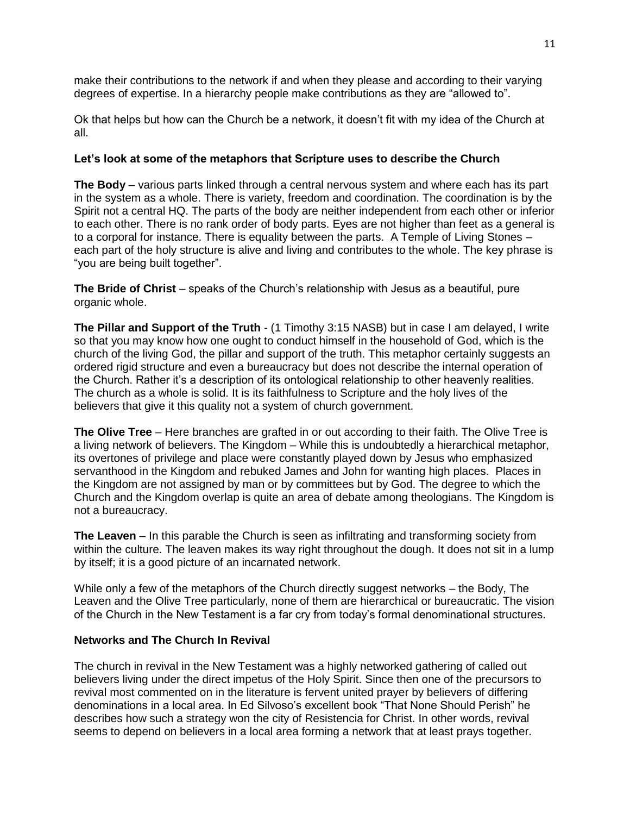make their contributions to the network if and when they please and according to their varying degrees of expertise. In a hierarchy people make contributions as they are "allowed to".

Ok that helps but how can the Church be a network, it doesn't fit with my idea of the Church at all.

## **Let's look at some of the metaphors that Scripture uses to describe the Church**

**The Body** – various parts linked through a central nervous system and where each has its part in the system as a whole. There is variety, freedom and coordination. The coordination is by the Spirit not a central HQ. The parts of the body are neither independent from each other or inferior to each other. There is no rank order of body parts. Eyes are not higher than feet as a general is to a corporal for instance. There is equality between the parts. A Temple of Living Stones – each part of the holy structure is alive and living and contributes to the whole. The key phrase is "you are being built together".

**The Bride of Christ** – speaks of the Church's relationship with Jesus as a beautiful, pure organic whole.

**The Pillar and Support of the Truth** - (1 Timothy 3:15 NASB) but in case I am delayed, I write so that you may know how one ought to conduct himself in the household of God, which is the church of the living God, the pillar and support of the truth. This metaphor certainly suggests an ordered rigid structure and even a bureaucracy but does not describe the internal operation of the Church. Rather it's a description of its ontological relationship to other heavenly realities. The church as a whole is solid. It is its faithfulness to Scripture and the holy lives of the believers that give it this quality not a system of church government.

**The Olive Tree** – Here branches are grafted in or out according to their faith. The Olive Tree is a living network of believers. The Kingdom – While this is undoubtedly a hierarchical metaphor, its overtones of privilege and place were constantly played down by Jesus who emphasized servanthood in the Kingdom and rebuked James and John for wanting high places. Places in the Kingdom are not assigned by man or by committees but by God. The degree to which the Church and the Kingdom overlap is quite an area of debate among theologians. The Kingdom is not a bureaucracy.

**The Leaven** – In this parable the Church is seen as infiltrating and transforming society from within the culture. The leaven makes its way right throughout the dough. It does not sit in a lump by itself; it is a good picture of an incarnated network.

While only a few of the metaphors of the Church directly suggest networks – the Body, The Leaven and the Olive Tree particularly, none of them are hierarchical or bureaucratic. The vision of the Church in the New Testament is a far cry from today's formal denominational structures.

## **Networks and The Church In Revival**

The church in revival in the New Testament was a highly networked gathering of called out believers living under the direct impetus of the Holy Spirit. Since then one of the precursors to revival most commented on in the literature is fervent united prayer by believers of differing denominations in a local area. In Ed Silvoso's excellent book "That None Should Perish" he describes how such a strategy won the city of Resistencia for Christ. In other words, revival seems to depend on believers in a local area forming a network that at least prays together.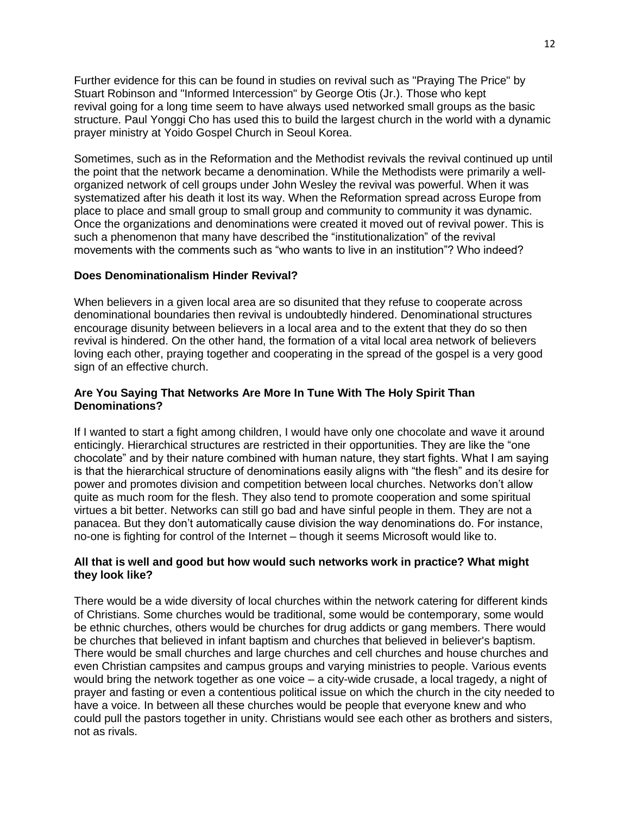Further evidence for this can be found in studies on revival such as "Praying The Price" by Stuart Robinson and "Informed Intercession" by George Otis (Jr.). Those who kept revival going for a long time seem to have always used networked small groups as the basic structure. Paul Yonggi Cho has used this to build the largest church in the world with a dynamic prayer ministry at Yoido Gospel Church in Seoul Korea.

Sometimes, such as in the Reformation and the Methodist revivals the revival continued up until the point that the network became a denomination. While the Methodists were primarily a wellorganized network of cell groups under John Wesley the revival was powerful. When it was systematized after his death it lost its way. When the Reformation spread across Europe from place to place and small group to small group and community to community it was dynamic. Once the organizations and denominations were created it moved out of revival power. This is such a phenomenon that many have described the "institutionalization" of the revival movements with the comments such as "who wants to live in an institution"? Who indeed?

## **Does Denominationalism Hinder Revival?**

When believers in a given local area are so disunited that they refuse to cooperate across denominational boundaries then revival is undoubtedly hindered. Denominational structures encourage disunity between believers in a local area and to the extent that they do so then revival is hindered. On the other hand, the formation of a vital local area network of believers loving each other, praying together and cooperating in the spread of the gospel is a very good sign of an effective church.

## **Are You Saying That Networks Are More In Tune With The Holy Spirit Than Denominations?**

If I wanted to start a fight among children, I would have only one chocolate and wave it around enticingly. Hierarchical structures are restricted in their opportunities. They are like the "one chocolate" and by their nature combined with human nature, they start fights. What I am saying is that the hierarchical structure of denominations easily aligns with "the flesh" and its desire for power and promotes division and competition between local churches. Networks don't allow quite as much room for the flesh. They also tend to promote cooperation and some spiritual virtues a bit better. Networks can still go bad and have sinful people in them. They are not a panacea. But they don't automatically cause division the way denominations do. For instance, no-one is fighting for control of the Internet – though it seems Microsoft would like to.

### **All that is well and good but how would such networks work in practice? What might they look like?**

There would be a wide diversity of local churches within the network catering for different kinds of Christians. Some churches would be traditional, some would be contemporary, some would be ethnic churches, others would be churches for drug addicts or gang members. There would be churches that believed in infant baptism and churches that believed in believer's baptism. There would be small churches and large churches and cell churches and house churches and even Christian campsites and campus groups and varying ministries to people. Various events would bring the network together as one voice – a city-wide crusade, a local tragedy, a night of prayer and fasting or even a contentious political issue on which the church in the city needed to have a voice. In between all these churches would be people that everyone knew and who could pull the pastors together in unity. Christians would see each other as brothers and sisters, not as rivals.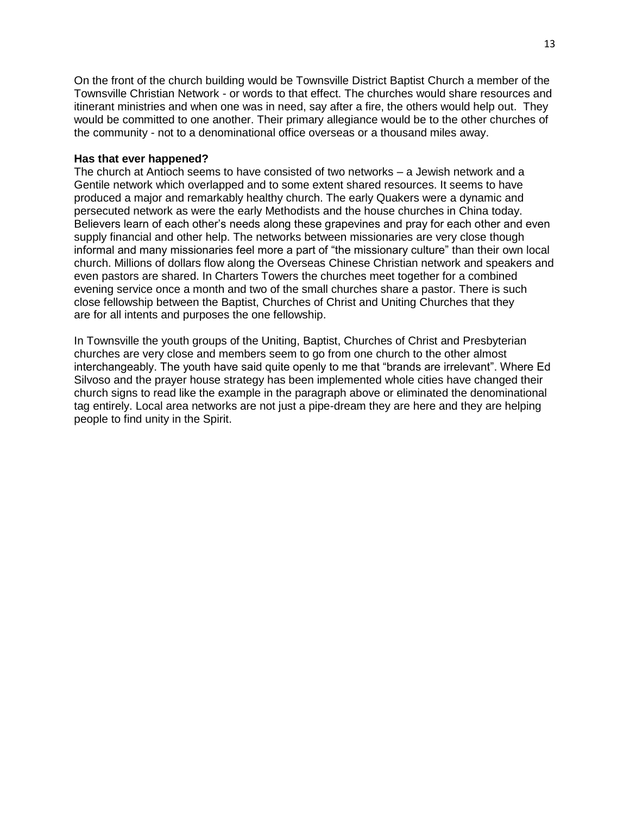On the front of the church building would be Townsville District Baptist Church a member of the Townsville Christian Network - or words to that effect. The churches would share resources and itinerant ministries and when one was in need, say after a fire, the others would help out. They would be committed to one another. Their primary allegiance would be to the other churches of the community - not to a denominational office overseas or a thousand miles away.

### **Has that ever happened?**

The church at Antioch seems to have consisted of two networks – a Jewish network and a Gentile network which overlapped and to some extent shared resources. It seems to have produced a major and remarkably healthy church. The early Quakers were a dynamic and persecuted network as were the early Methodists and the house churches in China today. Believers learn of each other's needs along these grapevines and pray for each other and even supply financial and other help. The networks between missionaries are very close though informal and many missionaries feel more a part of "the missionary culture" than their own local church. Millions of dollars flow along the Overseas Chinese Christian network and speakers and even pastors are shared. In Charters Towers the churches meet together for a combined evening service once a month and two of the small churches share a pastor. There is such close fellowship between the Baptist, Churches of Christ and Uniting Churches that they are for all intents and purposes the one fellowship.

In Townsville the youth groups of the Uniting, Baptist, Churches of Christ and Presbyterian churches are very close and members seem to go from one church to the other almost interchangeably. The youth have said quite openly to me that "brands are irrelevant". Where Ed Silvoso and the prayer house strategy has been implemented whole cities have changed their church signs to read like the example in the paragraph above or eliminated the denominational tag entirely. Local area networks are not just a pipe-dream they are here and they are helping people to find unity in the Spirit.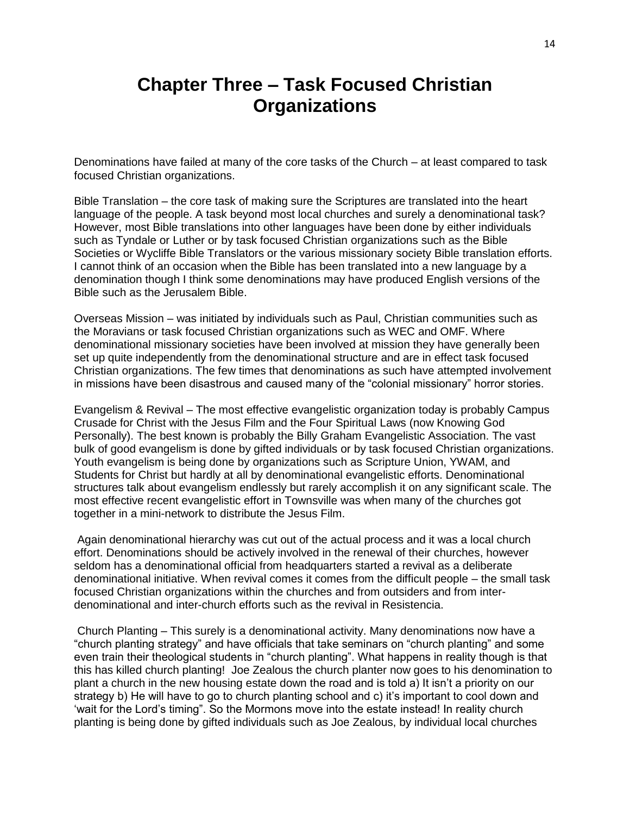# **Chapter Three – Task Focused Christian Organizations**

Denominations have failed at many of the core tasks of the Church – at least compared to task focused Christian organizations.

Bible Translation – the core task of making sure the Scriptures are translated into the heart language of the people. A task beyond most local churches and surely a denominational task? However, most Bible translations into other languages have been done by either individuals such as Tyndale or Luther or by task focused Christian organizations such as the Bible Societies or Wycliffe Bible Translators or the various missionary society Bible translation efforts. I cannot think of an occasion when the Bible has been translated into a new language by a denomination though I think some denominations may have produced English versions of the Bible such as the Jerusalem Bible.

Overseas Mission – was initiated by individuals such as Paul, Christian communities such as the Moravians or task focused Christian organizations such as WEC and OMF. Where denominational missionary societies have been involved at mission they have generally been set up quite independently from the denominational structure and are in effect task focused Christian organizations. The few times that denominations as such have attempted involvement in missions have been disastrous and caused many of the "colonial missionary" horror stories.

Evangelism & Revival – The most effective evangelistic organization today is probably Campus Crusade for Christ with the Jesus Film and the Four Spiritual Laws (now Knowing God Personally). The best known is probably the Billy Graham Evangelistic Association. The vast bulk of good evangelism is done by gifted individuals or by task focused Christian organizations. Youth evangelism is being done by organizations such as Scripture Union, YWAM, and Students for Christ but hardly at all by denominational evangelistic efforts. Denominational structures talk about evangelism endlessly but rarely accomplish it on any significant scale. The most effective recent evangelistic effort in Townsville was when many of the churches got together in a mini-network to distribute the Jesus Film.

Again denominational hierarchy was cut out of the actual process and it was a local church effort. Denominations should be actively involved in the renewal of their churches, however seldom has a denominational official from headquarters started a revival as a deliberate denominational initiative. When revival comes it comes from the difficult people – the small task focused Christian organizations within the churches and from outsiders and from interdenominational and inter-church efforts such as the revival in Resistencia.

Church Planting – This surely is a denominational activity. Many denominations now have a "church planting strategy" and have officials that take seminars on "church planting" and some even train their theological students in "church planting". What happens in reality though is that this has killed church planting! Joe Zealous the church planter now goes to his denomination to plant a church in the new housing estate down the road and is told a) It isn't a priority on our strategy b) He will have to go to church planting school and c) it's important to cool down and 'wait for the Lord's timing". So the Mormons move into the estate instead! In reality church planting is being done by gifted individuals such as Joe Zealous, by individual local churches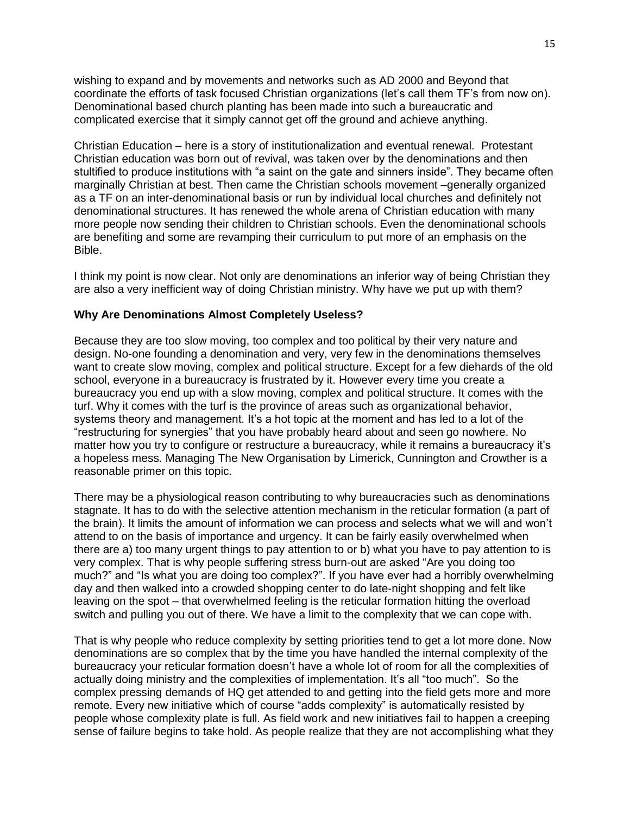wishing to expand and by movements and networks such as AD 2000 and Beyond that coordinate the efforts of task focused Christian organizations (let's call them TF's from now on). Denominational based church planting has been made into such a bureaucratic and complicated exercise that it simply cannot get off the ground and achieve anything.

Christian Education – here is a story of institutionalization and eventual renewal. Protestant Christian education was born out of revival, was taken over by the denominations and then stultified to produce institutions with "a saint on the gate and sinners inside". They became often marginally Christian at best. Then came the Christian schools movement –generally organized as a TF on an inter-denominational basis or run by individual local churches and definitely not denominational structures. It has renewed the whole arena of Christian education with many more people now sending their children to Christian schools. Even the denominational schools are benefiting and some are revamping their curriculum to put more of an emphasis on the Bible.

I think my point is now clear. Not only are denominations an inferior way of being Christian they are also a very inefficient way of doing Christian ministry. Why have we put up with them?

## **Why Are Denominations Almost Completely Useless?**

Because they are too slow moving, too complex and too political by their very nature and design. No-one founding a denomination and very, very few in the denominations themselves want to create slow moving, complex and political structure. Except for a few diehards of the old school, everyone in a bureaucracy is frustrated by it. However every time you create a bureaucracy you end up with a slow moving, complex and political structure. It comes with the turf. Why it comes with the turf is the province of areas such as organizational behavior, systems theory and management. It's a hot topic at the moment and has led to a lot of the "restructuring for synergies" that you have probably heard about and seen go nowhere. No matter how you try to configure or restructure a bureaucracy, while it remains a bureaucracy it's a hopeless mess. Managing The New Organisation by Limerick, Cunnington and Crowther is a reasonable primer on this topic.

There may be a physiological reason contributing to why bureaucracies such as denominations stagnate. It has to do with the selective attention mechanism in the reticular formation (a part of the brain). It limits the amount of information we can process and selects what we will and won't attend to on the basis of importance and urgency. It can be fairly easily overwhelmed when there are a) too many urgent things to pay attention to or b) what you have to pay attention to is very complex. That is why people suffering stress burn-out are asked "Are you doing too much?" and "Is what you are doing too complex?". If you have ever had a horribly overwhelming day and then walked into a crowded shopping center to do late-night shopping and felt like leaving on the spot – that overwhelmed feeling is the reticular formation hitting the overload switch and pulling you out of there. We have a limit to the complexity that we can cope with.

That is why people who reduce complexity by setting priorities tend to get a lot more done. Now denominations are so complex that by the time you have handled the internal complexity of the bureaucracy your reticular formation doesn't have a whole lot of room for all the complexities of actually doing ministry and the complexities of implementation. It's all "too much". So the complex pressing demands of HQ get attended to and getting into the field gets more and more remote. Every new initiative which of course "adds complexity" is automatically resisted by people whose complexity plate is full. As field work and new initiatives fail to happen a creeping sense of failure begins to take hold. As people realize that they are not accomplishing what they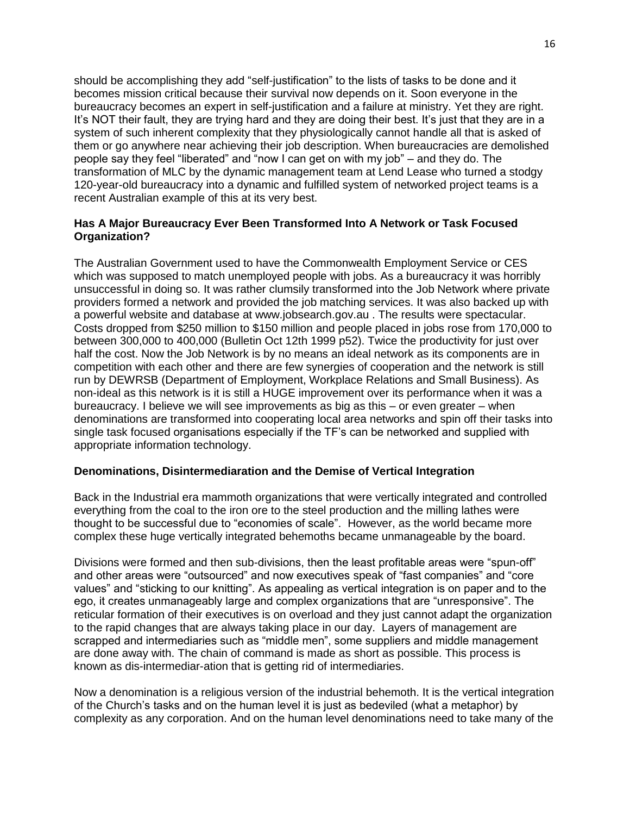should be accomplishing they add "self-justification" to the lists of tasks to be done and it becomes mission critical because their survival now depends on it. Soon everyone in the bureaucracy becomes an expert in self-justification and a failure at ministry. Yet they are right. It's NOT their fault, they are trying hard and they are doing their best. It's just that they are in a system of such inherent complexity that they physiologically cannot handle all that is asked of them or go anywhere near achieving their job description. When bureaucracies are demolished people say they feel "liberated" and "now I can get on with my job" – and they do. The transformation of MLC by the dynamic management team at Lend Lease who turned a stodgy 120-year-old bureaucracy into a dynamic and fulfilled system of networked project teams is a recent Australian example of this at its very best.

## **Has A Major Bureaucracy Ever Been Transformed Into A Network or Task Focused Organization?**

The Australian Government used to have the Commonwealth Employment Service or CES which was supposed to match unemployed people with jobs. As a bureaucracy it was horribly unsuccessful in doing so. It was rather clumsily transformed into the Job Network where private providers formed a network and provided the job matching services. It was also backed up with a powerful website and database at www.jobsearch.gov.au . The results were spectacular. Costs dropped from \$250 million to \$150 million and people placed in jobs rose from 170,000 to between 300,000 to 400,000 (Bulletin Oct 12th 1999 p52). Twice the productivity for just over half the cost. Now the Job Network is by no means an ideal network as its components are in competition with each other and there are few synergies of cooperation and the network is still run by DEWRSB (Department of Employment, Workplace Relations and Small Business). As non-ideal as this network is it is still a HUGE improvement over its performance when it was a bureaucracy. I believe we will see improvements as big as this – or even greater – when denominations are transformed into cooperating local area networks and spin off their tasks into single task focused organisations especially if the TF's can be networked and supplied with appropriate information technology.

#### **Denominations, Disintermediaration and the Demise of Vertical Integration**

Back in the Industrial era mammoth organizations that were vertically integrated and controlled everything from the coal to the iron ore to the steel production and the milling lathes were thought to be successful due to "economies of scale". However, as the world became more complex these huge vertically integrated behemoths became unmanageable by the board.

Divisions were formed and then sub-divisions, then the least profitable areas were "spun-off" and other areas were "outsourced" and now executives speak of "fast companies" and "core values" and "sticking to our knitting". As appealing as vertical integration is on paper and to the ego, it creates unmanageably large and complex organizations that are "unresponsive". The reticular formation of their executives is on overload and they just cannot adapt the organization to the rapid changes that are always taking place in our day. Layers of management are scrapped and intermediaries such as "middle men", some suppliers and middle management are done away with. The chain of command is made as short as possible. This process is known as dis-intermediar-ation that is getting rid of intermediaries.

Now a denomination is a religious version of the industrial behemoth. It is the vertical integration of the Church's tasks and on the human level it is just as bedeviled (what a metaphor) by complexity as any corporation. And on the human level denominations need to take many of the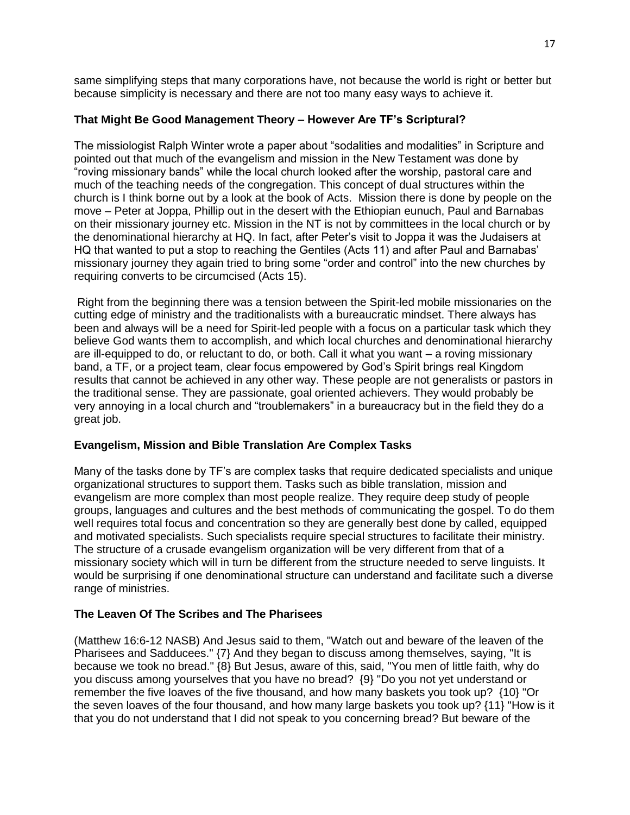same simplifying steps that many corporations have, not because the world is right or better but because simplicity is necessary and there are not too many easy ways to achieve it.

# **That Might Be Good Management Theory – However Are TF's Scriptural?**

The missiologist Ralph Winter wrote a paper about "sodalities and modalities" in Scripture and pointed out that much of the evangelism and mission in the New Testament was done by "roving missionary bands" while the local church looked after the worship, pastoral care and much of the teaching needs of the congregation. This concept of dual structures within the church is I think borne out by a look at the book of Acts. Mission there is done by people on the move – Peter at Joppa, Phillip out in the desert with the Ethiopian eunuch, Paul and Barnabas on their missionary journey etc. Mission in the NT is not by committees in the local church or by the denominational hierarchy at HQ. In fact, after Peter's visit to Joppa it was the Judaisers at HQ that wanted to put a stop to reaching the Gentiles (Acts 11) and after Paul and Barnabas' missionary journey they again tried to bring some "order and control" into the new churches by requiring converts to be circumcised (Acts 15).

Right from the beginning there was a tension between the Spirit-led mobile missionaries on the cutting edge of ministry and the traditionalists with a bureaucratic mindset. There always has been and always will be a need for Spirit-led people with a focus on a particular task which they believe God wants them to accomplish, and which local churches and denominational hierarchy are ill-equipped to do, or reluctant to do, or both. Call it what you want – a roving missionary band, a TF, or a project team, clear focus empowered by God's Spirit brings real Kingdom results that cannot be achieved in any other way. These people are not generalists or pastors in the traditional sense. They are passionate, goal oriented achievers. They would probably be very annoying in a local church and "troublemakers" in a bureaucracy but in the field they do a great job.

# **Evangelism, Mission and Bible Translation Are Complex Tasks**

Many of the tasks done by TF's are complex tasks that require dedicated specialists and unique organizational structures to support them. Tasks such as bible translation, mission and evangelism are more complex than most people realize. They require deep study of people groups, languages and cultures and the best methods of communicating the gospel. To do them well requires total focus and concentration so they are generally best done by called, equipped and motivated specialists. Such specialists require special structures to facilitate their ministry. The structure of a crusade evangelism organization will be very different from that of a missionary society which will in turn be different from the structure needed to serve linguists. It would be surprising if one denominational structure can understand and facilitate such a diverse range of ministries.

# **The Leaven Of The Scribes and The Pharisees**

(Matthew 16:6-12 NASB) And Jesus said to them, "Watch out and beware of the leaven of the Pharisees and Sadducees." {7} And they began to discuss among themselves, saying, "It is because we took no bread." {8} But Jesus, aware of this, said, "You men of little faith, why do you discuss among yourselves that you have no bread? {9} "Do you not yet understand or remember the five loaves of the five thousand, and how many baskets you took up? {10} "Or the seven loaves of the four thousand, and how many large baskets you took up? {11} "How is it that you do not understand that I did not speak to you concerning bread? But beware of the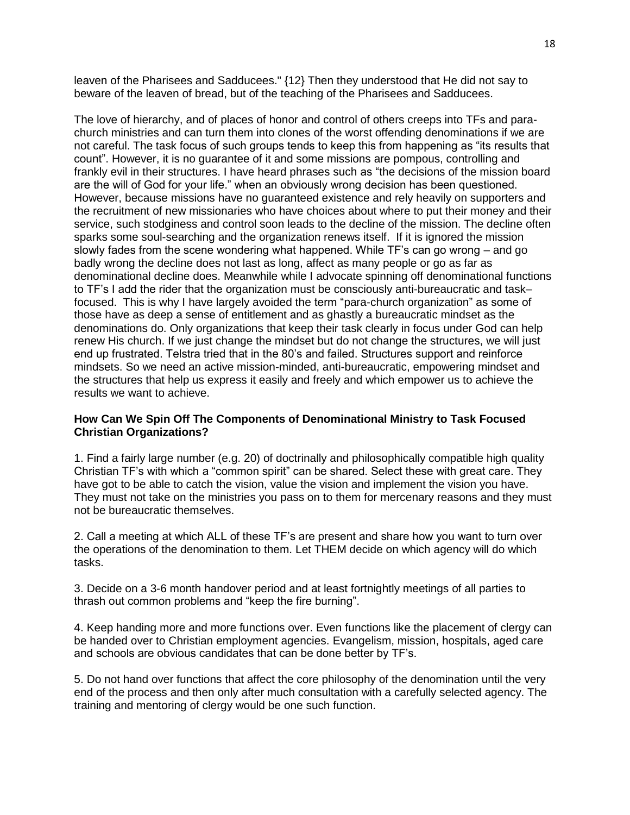leaven of the Pharisees and Sadducees." {12} Then they understood that He did not say to beware of the leaven of bread, but of the teaching of the Pharisees and Sadducees.

The love of hierarchy, and of places of honor and control of others creeps into TFs and parachurch ministries and can turn them into clones of the worst offending denominations if we are not careful. The task focus of such groups tends to keep this from happening as "its results that count". However, it is no guarantee of it and some missions are pompous, controlling and frankly evil in their structures. I have heard phrases such as "the decisions of the mission board are the will of God for your life." when an obviously wrong decision has been questioned. However, because missions have no guaranteed existence and rely heavily on supporters and the recruitment of new missionaries who have choices about where to put their money and their service, such stodginess and control soon leads to the decline of the mission. The decline often sparks some soul-searching and the organization renews itself. If it is ignored the mission slowly fades from the scene wondering what happened. While TF's can go wrong – and go badly wrong the decline does not last as long, affect as many people or go as far as denominational decline does. Meanwhile while I advocate spinning off denominational functions to TF's I add the rider that the organization must be consciously anti-bureaucratic and task– focused. This is why I have largely avoided the term "para-church organization" as some of those have as deep a sense of entitlement and as ghastly a bureaucratic mindset as the denominations do. Only organizations that keep their task clearly in focus under God can help renew His church. If we just change the mindset but do not change the structures, we will just end up frustrated. Telstra tried that in the 80's and failed. Structures support and reinforce mindsets. So we need an active mission-minded, anti-bureaucratic, empowering mindset and the structures that help us express it easily and freely and which empower us to achieve the results we want to achieve.

## **How Can We Spin Off The Components of Denominational Ministry to Task Focused Christian Organizations?**

1. Find a fairly large number (e.g. 20) of doctrinally and philosophically compatible high quality Christian TF's with which a "common spirit" can be shared. Select these with great care. They have got to be able to catch the vision, value the vision and implement the vision you have. They must not take on the ministries you pass on to them for mercenary reasons and they must not be bureaucratic themselves.

2. Call a meeting at which ALL of these TF's are present and share how you want to turn over the operations of the denomination to them. Let THEM decide on which agency will do which tasks.

3. Decide on a 3-6 month handover period and at least fortnightly meetings of all parties to thrash out common problems and "keep the fire burning".

4. Keep handing more and more functions over. Even functions like the placement of clergy can be handed over to Christian employment agencies. Evangelism, mission, hospitals, aged care and schools are obvious candidates that can be done better by TF's.

5. Do not hand over functions that affect the core philosophy of the denomination until the very end of the process and then only after much consultation with a carefully selected agency. The training and mentoring of clergy would be one such function.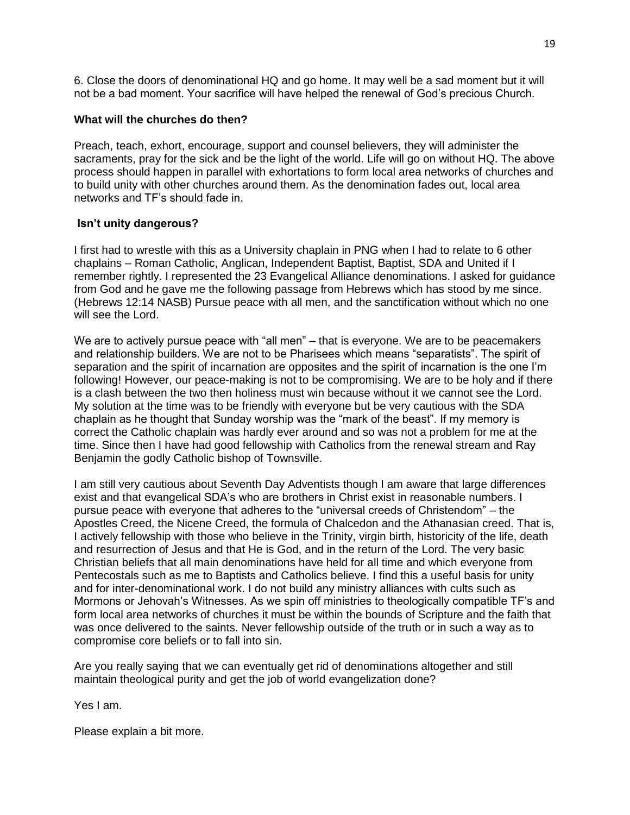6. Close the doors of denominational HQ and go home. It may well be a sad moment but it will not be a bad moment. Your sacrifice will have helped the renewal of God's precious Church.

## **What will the churches do then?**

Preach, teach, exhort, encourage, support and counsel believers, they will administer the sacraments, pray for the sick and be the light of the world. Life will go on without HQ. The above process should happen in parallel with exhortations to form local area networks of churches and to build unity with other churches around them. As the denomination fades out, local area networks and TF's should fade in.

## **Isn't unity dangerous?**

I first had to wrestle with this as a University chaplain in PNG when I had to relate to 6 other chaplains – Roman Catholic, Anglican, Independent Baptist, Baptist, SDA and United if I remember rightly. I represented the 23 Evangelical Alliance denominations. I asked for guidance from God and he gave me the following passage from Hebrews which has stood by me since. (Hebrews 12:14 NASB) Pursue peace with all men, and the sanctification without which no one will see the Lord.

We are to actively pursue peace with "all men" – that is everyone. We are to be peacemakers and relationship builders. We are not to be Pharisees which means "separatists". The spirit of separation and the spirit of incarnation are opposites and the spirit of incarnation is the one I'm following! However, our peace-making is not to be compromising. We are to be holy and if there is a clash between the two then holiness must win because without it we cannot see the Lord. My solution at the time was to be friendly with everyone but be very cautious with the SDA chaplain as he thought that Sunday worship was the "mark of the beast". If my memory is correct the Catholic chaplain was hardly ever around and so was not a problem for me at the time. Since then I have had good fellowship with Catholics from the renewal stream and Ray Benjamin the godly Catholic bishop of Townsville.

I am still very cautious about Seventh Day Adventists though I am aware that large differences exist and that evangelical SDA's who are brothers in Christ exist in reasonable numbers. I pursue peace with everyone that adheres to the "universal creeds of Christendom" – the Apostles Creed, the Nicene Creed, the formula of Chalcedon and the Athanasian creed. That is, I actively fellowship with those who believe in the Trinity, virgin birth, historicity of the life, death and resurrection of Jesus and that He is God, and in the return of the Lord. The very basic Christian beliefs that all main denominations have held for all time and which everyone from Pentecostals such as me to Baptists and Catholics believe. I find this a useful basis for unity and for inter-denominational work. I do not build any ministry alliances with cults such as Mormons or Jehovah's Witnesses. As we spin off ministries to theologically compatible TF's and form local area networks of churches it must be within the bounds of Scripture and the faith that was once delivered to the saints. Never fellowship outside of the truth or in such a way as to compromise core beliefs or to fall into sin.

Are you really saying that we can eventually get rid of denominations altogether and still maintain theological purity and get the job of world evangelization done?

Yes I am.

Please explain a bit more.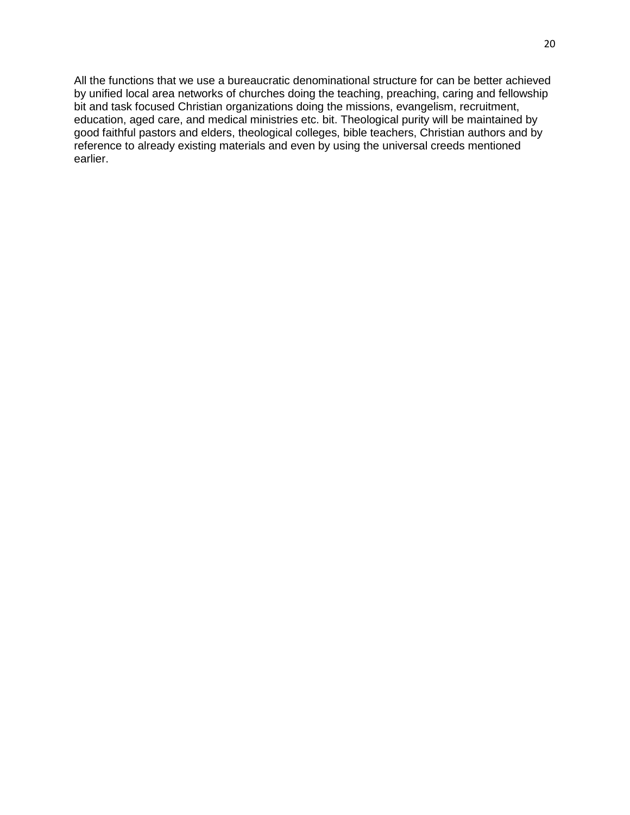All the functions that we use a bureaucratic denominational structure for can be better achieved by unified local area networks of churches doing the teaching, preaching, caring and fellowship bit and task focused Christian organizations doing the missions, evangelism, recruitment, education, aged care, and medical ministries etc. bit. Theological purity will be maintained by good faithful pastors and elders, theological colleges, bible teachers, Christian authors and by reference to already existing materials and even by using the universal creeds mentioned earlier.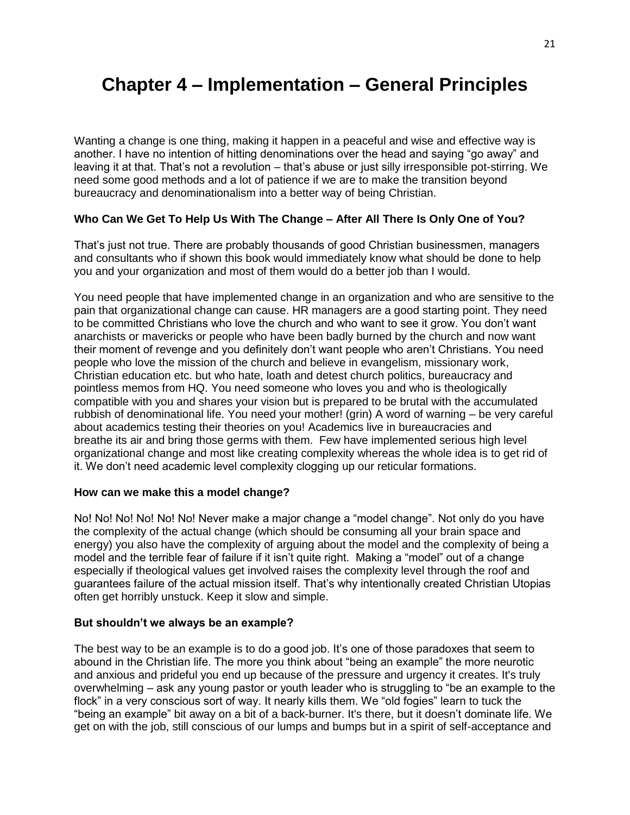# **Chapter 4 – Implementation – General Principles**

Wanting a change is one thing, making it happen in a peaceful and wise and effective way is another. I have no intention of hitting denominations over the head and saying "go away" and leaving it at that. That's not a revolution – that's abuse or just silly irresponsible pot-stirring. We need some good methods and a lot of patience if we are to make the transition beyond bureaucracy and denominationalism into a better way of being Christian.

# **Who Can We Get To Help Us With The Change – After All There Is Only One of You?**

That's just not true. There are probably thousands of good Christian businessmen, managers and consultants who if shown this book would immediately know what should be done to help you and your organization and most of them would do a better job than I would.

You need people that have implemented change in an organization and who are sensitive to the pain that organizational change can cause. HR managers are a good starting point. They need to be committed Christians who love the church and who want to see it grow. You don't want anarchists or mavericks or people who have been badly burned by the church and now want their moment of revenge and you definitely don't want people who aren't Christians. You need people who love the mission of the church and believe in evangelism, missionary work, Christian education etc. but who hate, loath and detest church politics, bureaucracy and pointless memos from HQ. You need someone who loves you and who is theologically compatible with you and shares your vision but is prepared to be brutal with the accumulated rubbish of denominational life. You need your mother! (grin) A word of warning – be very careful about academics testing their theories on you! Academics live in bureaucracies and breathe its air and bring those germs with them. Few have implemented serious high level organizational change and most like creating complexity whereas the whole idea is to get rid of it. We don't need academic level complexity clogging up our reticular formations.

## **How can we make this a model change?**

No! No! No! No! No! No! Never make a major change a "model change". Not only do you have the complexity of the actual change (which should be consuming all your brain space and energy) you also have the complexity of arguing about the model and the complexity of being a model and the terrible fear of failure if it isn't quite right. Making a "model" out of a change especially if theological values get involved raises the complexity level through the roof and guarantees failure of the actual mission itself. That's why intentionally created Christian Utopias often get horribly unstuck. Keep it slow and simple.

## **But shouldn't we always be an example?**

The best way to be an example is to do a good job. It's one of those paradoxes that seem to abound in the Christian life. The more you think about "being an example" the more neurotic and anxious and prideful you end up because of the pressure and urgency it creates. It's truly overwhelming – ask any young pastor or youth leader who is struggling to "be an example to the flock" in a very conscious sort of way. It nearly kills them. We "old fogies" learn to tuck the "being an example" bit away on a bit of a back-burner. It's there, but it doesn't dominate life. We get on with the job, still conscious of our lumps and bumps but in a spirit of self-acceptance and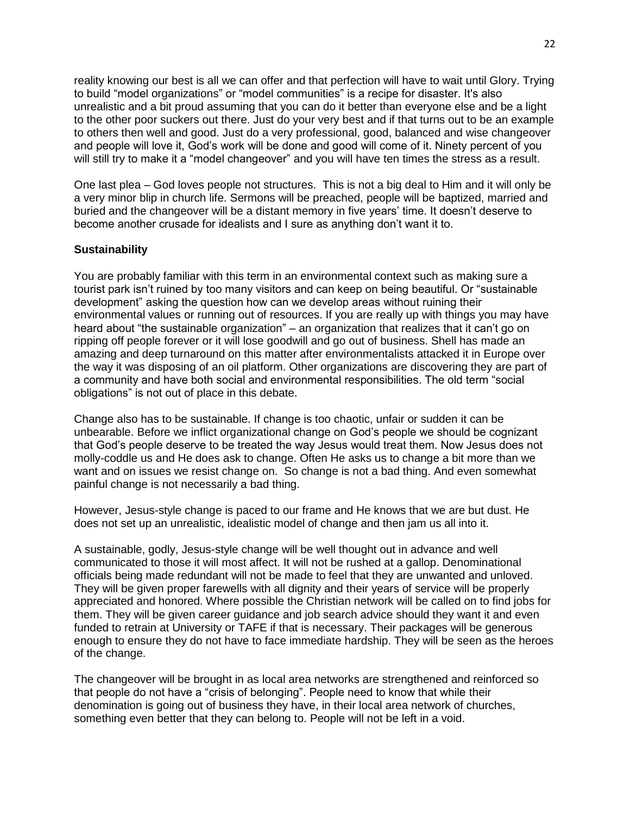reality knowing our best is all we can offer and that perfection will have to wait until Glory. Trying to build "model organizations" or "model communities" is a recipe for disaster. It's also unrealistic and a bit proud assuming that you can do it better than everyone else and be a light to the other poor suckers out there. Just do your very best and if that turns out to be an example to others then well and good. Just do a very professional, good, balanced and wise changeover and people will love it, God's work will be done and good will come of it. Ninety percent of you will still try to make it a "model changeover" and you will have ten times the stress as a result.

One last plea – God loves people not structures. This is not a big deal to Him and it will only be a very minor blip in church life. Sermons will be preached, people will be baptized, married and buried and the changeover will be a distant memory in five years' time. It doesn't deserve to become another crusade for idealists and I sure as anything don't want it to.

## **Sustainability**

You are probably familiar with this term in an environmental context such as making sure a tourist park isn't ruined by too many visitors and can keep on being beautiful. Or "sustainable development" asking the question how can we develop areas without ruining their environmental values or running out of resources. If you are really up with things you may have heard about "the sustainable organization" – an organization that realizes that it can't go on ripping off people forever or it will lose goodwill and go out of business. Shell has made an amazing and deep turnaround on this matter after environmentalists attacked it in Europe over the way it was disposing of an oil platform. Other organizations are discovering they are part of a community and have both social and environmental responsibilities. The old term "social obligations" is not out of place in this debate.

Change also has to be sustainable. If change is too chaotic, unfair or sudden it can be unbearable. Before we inflict organizational change on God's people we should be cognizant that God's people deserve to be treated the way Jesus would treat them. Now Jesus does not molly-coddle us and He does ask to change. Often He asks us to change a bit more than we want and on issues we resist change on. So change is not a bad thing. And even somewhat painful change is not necessarily a bad thing.

However, Jesus-style change is paced to our frame and He knows that we are but dust. He does not set up an unrealistic, idealistic model of change and then jam us all into it.

A sustainable, godly, Jesus-style change will be well thought out in advance and well communicated to those it will most affect. It will not be rushed at a gallop. Denominational officials being made redundant will not be made to feel that they are unwanted and unloved. They will be given proper farewells with all dignity and their years of service will be properly appreciated and honored. Where possible the Christian network will be called on to find jobs for them. They will be given career guidance and job search advice should they want it and even funded to retrain at University or TAFE if that is necessary. Their packages will be generous enough to ensure they do not have to face immediate hardship. They will be seen as the heroes of the change.

The changeover will be brought in as local area networks are strengthened and reinforced so that people do not have a "crisis of belonging". People need to know that while their denomination is going out of business they have, in their local area network of churches, something even better that they can belong to. People will not be left in a void.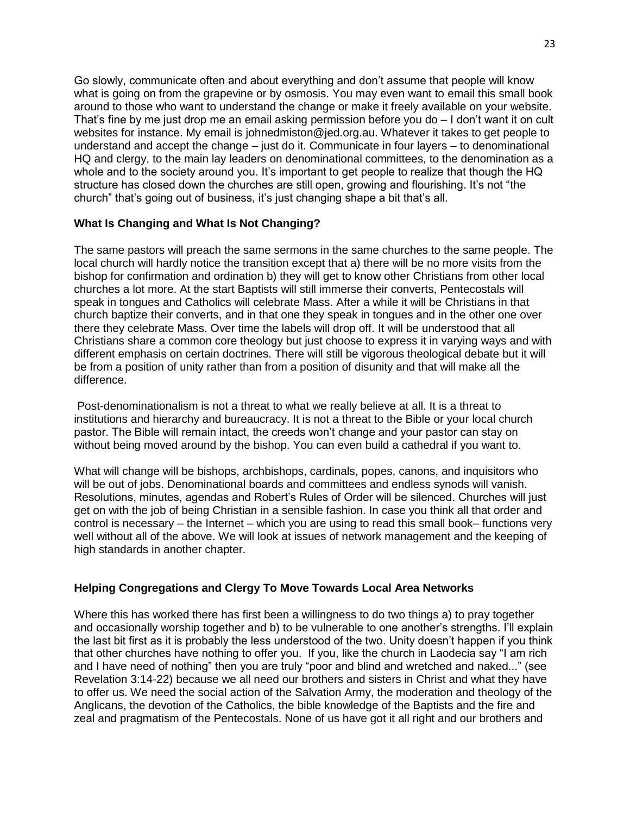Go slowly, communicate often and about everything and don't assume that people will know what is going on from the grapevine or by osmosis. You may even want to email this small book around to those who want to understand the change or make it freely available on your website. That's fine by me just drop me an email asking permission before you do – I don't want it on cult websites for instance. My email is johnedmiston@jed.org.au. Whatever it takes to get people to understand and accept the change – just do it. Communicate in four layers – to denominational HQ and clergy, to the main lay leaders on denominational committees, to the denomination as a whole and to the society around you. It's important to get people to realize that though the HQ structure has closed down the churches are still open, growing and flourishing. It's not "the church" that's going out of business, it's just changing shape a bit that's all.

# **What Is Changing and What Is Not Changing?**

The same pastors will preach the same sermons in the same churches to the same people. The local church will hardly notice the transition except that a) there will be no more visits from the bishop for confirmation and ordination b) they will get to know other Christians from other local churches a lot more. At the start Baptists will still immerse their converts, Pentecostals will speak in tongues and Catholics will celebrate Mass. After a while it will be Christians in that church baptize their converts, and in that one they speak in tongues and in the other one over there they celebrate Mass. Over time the labels will drop off. It will be understood that all Christians share a common core theology but just choose to express it in varying ways and with different emphasis on certain doctrines. There will still be vigorous theological debate but it will be from a position of unity rather than from a position of disunity and that will make all the difference.

Post-denominationalism is not a threat to what we really believe at all. It is a threat to institutions and hierarchy and bureaucracy. It is not a threat to the Bible or your local church pastor. The Bible will remain intact, the creeds won't change and your pastor can stay on without being moved around by the bishop. You can even build a cathedral if you want to.

What will change will be bishops, archbishops, cardinals, popes, canons, and inquisitors who will be out of jobs. Denominational boards and committees and endless synods will vanish. Resolutions, minutes, agendas and Robert's Rules of Order will be silenced. Churches will just get on with the job of being Christian in a sensible fashion. In case you think all that order and control is necessary – the Internet – which you are using to read this small book– functions very well without all of the above. We will look at issues of network management and the keeping of high standards in another chapter.

## **Helping Congregations and Clergy To Move Towards Local Area Networks**

Where this has worked there has first been a willingness to do two things a) to pray together and occasionally worship together and b) to be vulnerable to one another's strengths. I'll explain the last bit first as it is probably the less understood of the two. Unity doesn't happen if you think that other churches have nothing to offer you. If you, like the church in Laodecia say "I am rich and I have need of nothing" then you are truly "poor and blind and wretched and naked..." (see Revelation 3:14-22) because we all need our brothers and sisters in Christ and what they have to offer us. We need the social action of the Salvation Army, the moderation and theology of the Anglicans, the devotion of the Catholics, the bible knowledge of the Baptists and the fire and zeal and pragmatism of the Pentecostals. None of us have got it all right and our brothers and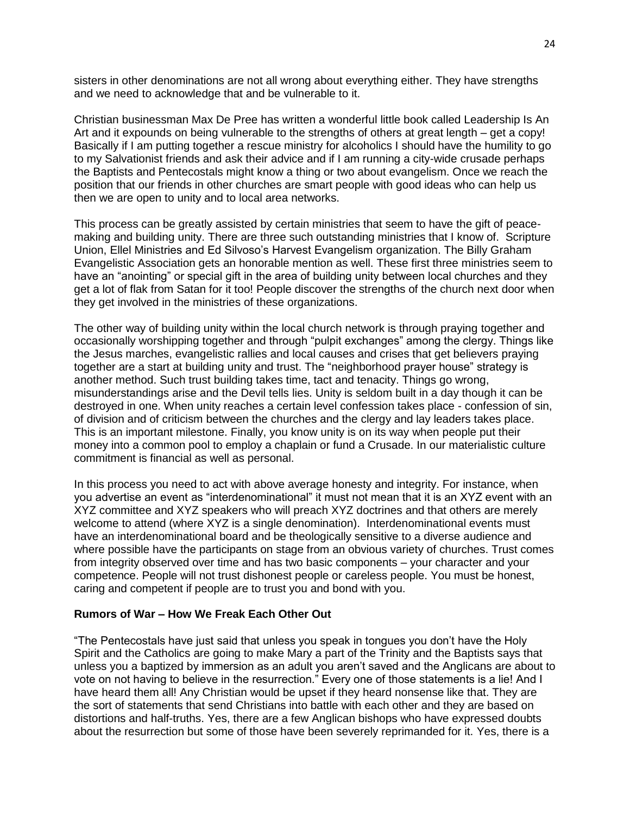sisters in other denominations are not all wrong about everything either. They have strengths and we need to acknowledge that and be vulnerable to it.

Christian businessman Max De Pree has written a wonderful little book called Leadership Is An Art and it expounds on being vulnerable to the strengths of others at great length – get a copy! Basically if I am putting together a rescue ministry for alcoholics I should have the humility to go to my Salvationist friends and ask their advice and if I am running a city-wide crusade perhaps the Baptists and Pentecostals might know a thing or two about evangelism. Once we reach the position that our friends in other churches are smart people with good ideas who can help us then we are open to unity and to local area networks.

This process can be greatly assisted by certain ministries that seem to have the gift of peacemaking and building unity. There are three such outstanding ministries that I know of. Scripture Union, Ellel Ministries and Ed Silvoso's Harvest Evangelism organization. The Billy Graham Evangelistic Association gets an honorable mention as well. These first three ministries seem to have an "anointing" or special gift in the area of building unity between local churches and they get a lot of flak from Satan for it too! People discover the strengths of the church next door when they get involved in the ministries of these organizations.

The other way of building unity within the local church network is through praying together and occasionally worshipping together and through "pulpit exchanges" among the clergy. Things like the Jesus marches, evangelistic rallies and local causes and crises that get believers praying together are a start at building unity and trust. The "neighborhood prayer house" strategy is another method. Such trust building takes time, tact and tenacity. Things go wrong, misunderstandings arise and the Devil tells lies. Unity is seldom built in a day though it can be destroyed in one. When unity reaches a certain level confession takes place - confession of sin, of division and of criticism between the churches and the clergy and lay leaders takes place. This is an important milestone. Finally, you know unity is on its way when people put their money into a common pool to employ a chaplain or fund a Crusade. In our materialistic culture commitment is financial as well as personal.

In this process you need to act with above average honesty and integrity. For instance, when you advertise an event as "interdenominational" it must not mean that it is an XYZ event with an XYZ committee and XYZ speakers who will preach XYZ doctrines and that others are merely welcome to attend (where XYZ is a single denomination). Interdenominational events must have an interdenominational board and be theologically sensitive to a diverse audience and where possible have the participants on stage from an obvious variety of churches. Trust comes from integrity observed over time and has two basic components – your character and your competence. People will not trust dishonest people or careless people. You must be honest, caring and competent if people are to trust you and bond with you.

### **Rumors of War – How We Freak Each Other Out**

"The Pentecostals have just said that unless you speak in tongues you don't have the Holy Spirit and the Catholics are going to make Mary a part of the Trinity and the Baptists says that unless you a baptized by immersion as an adult you aren't saved and the Anglicans are about to vote on not having to believe in the resurrection." Every one of those statements is a lie! And I have heard them all! Any Christian would be upset if they heard nonsense like that. They are the sort of statements that send Christians into battle with each other and they are based on distortions and half-truths. Yes, there are a few Anglican bishops who have expressed doubts about the resurrection but some of those have been severely reprimanded for it. Yes, there is a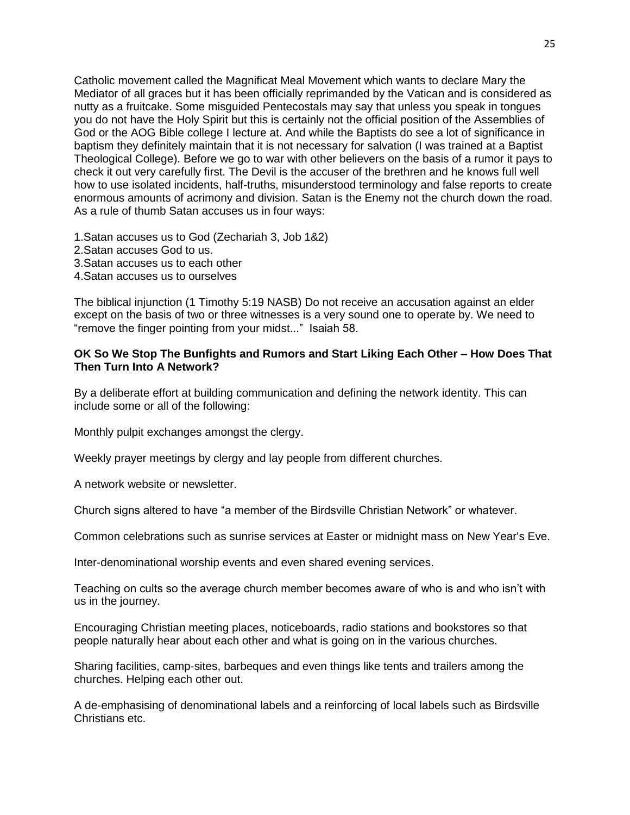Catholic movement called the Magnificat Meal Movement which wants to declare Mary the Mediator of all graces but it has been officially reprimanded by the Vatican and is considered as nutty as a fruitcake. Some misguided Pentecostals may say that unless you speak in tongues you do not have the Holy Spirit but this is certainly not the official position of the Assemblies of God or the AOG Bible college I lecture at. And while the Baptists do see a lot of significance in baptism they definitely maintain that it is not necessary for salvation (I was trained at a Baptist Theological College). Before we go to war with other believers on the basis of a rumor it pays to check it out very carefully first. The Devil is the accuser of the brethren and he knows full well how to use isolated incidents, half-truths, misunderstood terminology and false reports to create enormous amounts of acrimony and division. Satan is the Enemy not the church down the road. As a rule of thumb Satan accuses us in four ways:

1.Satan accuses us to God (Zechariah 3, Job 1&2)

- 2.Satan accuses God to us.
- 3.Satan accuses us to each other
- 4.Satan accuses us to ourselves

The biblical injunction (1 Timothy 5:19 NASB) Do not receive an accusation against an elder except on the basis of two or three witnesses is a very sound one to operate by. We need to "remove the finger pointing from your midst..." Isaiah 58.

## **OK So We Stop The Bunfights and Rumors and Start Liking Each Other – How Does That Then Turn Into A Network?**

By a deliberate effort at building communication and defining the network identity. This can include some or all of the following:

Monthly pulpit exchanges amongst the clergy.

Weekly prayer meetings by clergy and lay people from different churches.

A network website or newsletter.

Church signs altered to have "a member of the Birdsville Christian Network" or whatever.

Common celebrations such as sunrise services at Easter or midnight mass on New Year's Eve.

Inter-denominational worship events and even shared evening services.

Teaching on cults so the average church member becomes aware of who is and who isn't with us in the journey.

Encouraging Christian meeting places, noticeboards, radio stations and bookstores so that people naturally hear about each other and what is going on in the various churches.

Sharing facilities, camp-sites, barbeques and even things like tents and trailers among the churches. Helping each other out.

A de-emphasising of denominational labels and a reinforcing of local labels such as Birdsville Christians etc.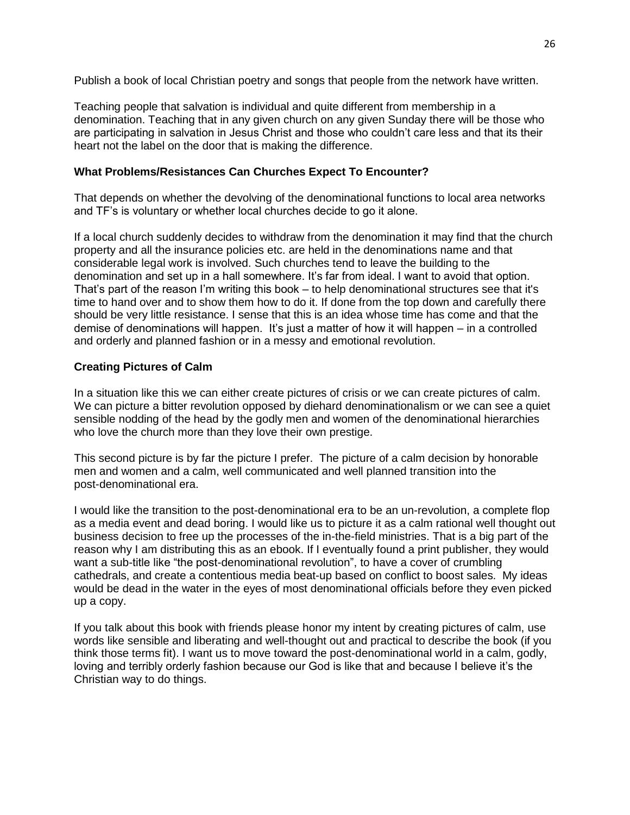Publish a book of local Christian poetry and songs that people from the network have written.

Teaching people that salvation is individual and quite different from membership in a denomination. Teaching that in any given church on any given Sunday there will be those who are participating in salvation in Jesus Christ and those who couldn't care less and that its their heart not the label on the door that is making the difference.

# **What Problems/Resistances Can Churches Expect To Encounter?**

That depends on whether the devolving of the denominational functions to local area networks and TF's is voluntary or whether local churches decide to go it alone.

If a local church suddenly decides to withdraw from the denomination it may find that the church property and all the insurance policies etc. are held in the denominations name and that considerable legal work is involved. Such churches tend to leave the building to the denomination and set up in a hall somewhere. It's far from ideal. I want to avoid that option. That's part of the reason I'm writing this book – to help denominational structures see that it's time to hand over and to show them how to do it. If done from the top down and carefully there should be very little resistance. I sense that this is an idea whose time has come and that the demise of denominations will happen. It's just a matter of how it will happen – in a controlled and orderly and planned fashion or in a messy and emotional revolution.

# **Creating Pictures of Calm**

In a situation like this we can either create pictures of crisis or we can create pictures of calm. We can picture a bitter revolution opposed by diehard denominationalism or we can see a quiet sensible nodding of the head by the godly men and women of the denominational hierarchies who love the church more than they love their own prestige.

This second picture is by far the picture I prefer. The picture of a calm decision by honorable men and women and a calm, well communicated and well planned transition into the post-denominational era.

I would like the transition to the post-denominational era to be an un-revolution, a complete flop as a media event and dead boring. I would like us to picture it as a calm rational well thought out business decision to free up the processes of the in-the-field ministries. That is a big part of the reason why I am distributing this as an ebook. If I eventually found a print publisher, they would want a sub-title like "the post-denominational revolution", to have a cover of crumbling cathedrals, and create a contentious media beat-up based on conflict to boost sales. My ideas would be dead in the water in the eyes of most denominational officials before they even picked up a copy.

If you talk about this book with friends please honor my intent by creating pictures of calm, use words like sensible and liberating and well-thought out and practical to describe the book (if you think those terms fit). I want us to move toward the post-denominational world in a calm, godly, loving and terribly orderly fashion because our God is like that and because I believe it's the Christian way to do things.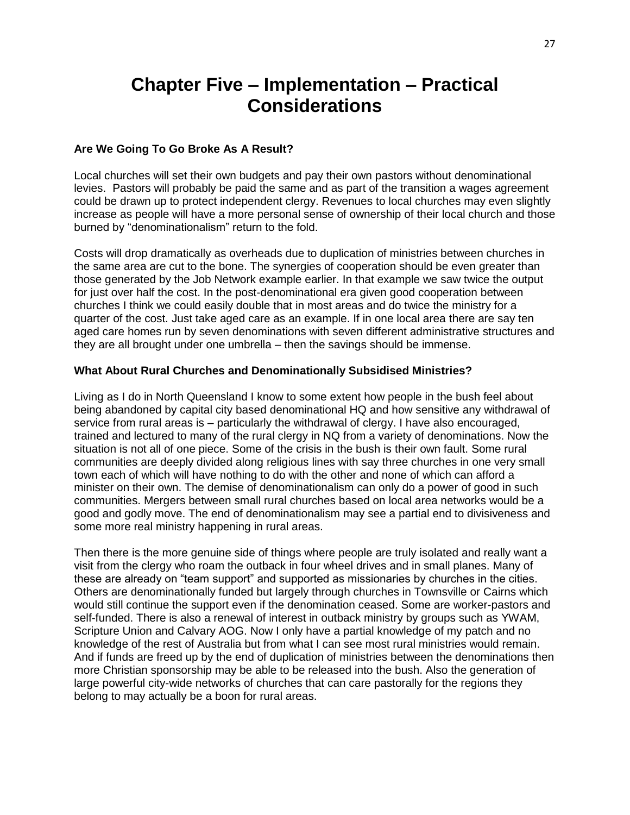# **Chapter Five – Implementation – Practical Considerations**

## **Are We Going To Go Broke As A Result?**

Local churches will set their own budgets and pay their own pastors without denominational levies. Pastors will probably be paid the same and as part of the transition a wages agreement could be drawn up to protect independent clergy. Revenues to local churches may even slightly increase as people will have a more personal sense of ownership of their local church and those burned by "denominationalism" return to the fold.

Costs will drop dramatically as overheads due to duplication of ministries between churches in the same area are cut to the bone. The synergies of cooperation should be even greater than those generated by the Job Network example earlier. In that example we saw twice the output for just over half the cost. In the post-denominational era given good cooperation between churches I think we could easily double that in most areas and do twice the ministry for a quarter of the cost. Just take aged care as an example. If in one local area there are say ten aged care homes run by seven denominations with seven different administrative structures and they are all brought under one umbrella – then the savings should be immense.

## **What About Rural Churches and Denominationally Subsidised Ministries?**

Living as I do in North Queensland I know to some extent how people in the bush feel about being abandoned by capital city based denominational HQ and how sensitive any withdrawal of service from rural areas is – particularly the withdrawal of clergy. I have also encouraged, trained and lectured to many of the rural clergy in NQ from a variety of denominations. Now the situation is not all of one piece. Some of the crisis in the bush is their own fault. Some rural communities are deeply divided along religious lines with say three churches in one very small town each of which will have nothing to do with the other and none of which can afford a minister on their own. The demise of denominationalism can only do a power of good in such communities. Mergers between small rural churches based on local area networks would be a good and godly move. The end of denominationalism may see a partial end to divisiveness and some more real ministry happening in rural areas.

Then there is the more genuine side of things where people are truly isolated and really want a visit from the clergy who roam the outback in four wheel drives and in small planes. Many of these are already on "team support" and supported as missionaries by churches in the cities. Others are denominationally funded but largely through churches in Townsville or Cairns which would still continue the support even if the denomination ceased. Some are worker-pastors and self-funded. There is also a renewal of interest in outback ministry by groups such as YWAM, Scripture Union and Calvary AOG. Now I only have a partial knowledge of my patch and no knowledge of the rest of Australia but from what I can see most rural ministries would remain. And if funds are freed up by the end of duplication of ministries between the denominations then more Christian sponsorship may be able to be released into the bush. Also the generation of large powerful city-wide networks of churches that can care pastorally for the regions they belong to may actually be a boon for rural areas.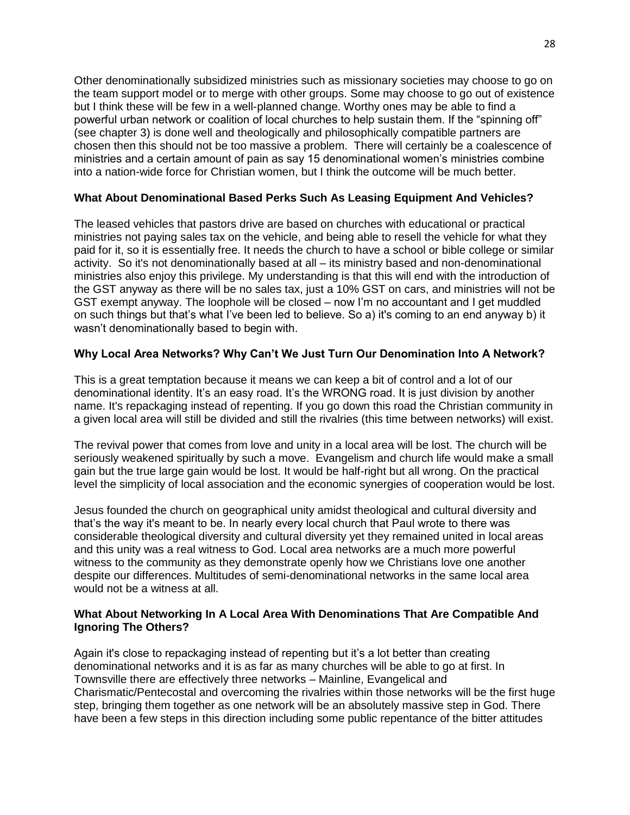Other denominationally subsidized ministries such as missionary societies may choose to go on the team support model or to merge with other groups. Some may choose to go out of existence but I think these will be few in a well-planned change. Worthy ones may be able to find a powerful urban network or coalition of local churches to help sustain them. If the "spinning off" (see chapter 3) is done well and theologically and philosophically compatible partners are chosen then this should not be too massive a problem. There will certainly be a coalescence of ministries and a certain amount of pain as say 15 denominational women's ministries combine into a nation-wide force for Christian women, but I think the outcome will be much better.

# **What About Denominational Based Perks Such As Leasing Equipment And Vehicles?**

The leased vehicles that pastors drive are based on churches with educational or practical ministries not paying sales tax on the vehicle, and being able to resell the vehicle for what they paid for it, so it is essentially free. It needs the church to have a school or bible college or similar activity. So it's not denominationally based at all – its ministry based and non-denominational ministries also enjoy this privilege. My understanding is that this will end with the introduction of the GST anyway as there will be no sales tax, just a 10% GST on cars, and ministries will not be GST exempt anyway. The loophole will be closed – now I'm no accountant and I get muddled on such things but that's what I've been led to believe. So a) it's coming to an end anyway b) it wasn't denominationally based to begin with.

# **Why Local Area Networks? Why Can't We Just Turn Our Denomination Into A Network?**

This is a great temptation because it means we can keep a bit of control and a lot of our denominational identity. It's an easy road. It's the WRONG road. It is just division by another name. It's repackaging instead of repenting. If you go down this road the Christian community in a given local area will still be divided and still the rivalries (this time between networks) will exist.

The revival power that comes from love and unity in a local area will be lost. The church will be seriously weakened spiritually by such a move. Evangelism and church life would make a small gain but the true large gain would be lost. It would be half-right but all wrong. On the practical level the simplicity of local association and the economic synergies of cooperation would be lost.

Jesus founded the church on geographical unity amidst theological and cultural diversity and that's the way it's meant to be. In nearly every local church that Paul wrote to there was considerable theological diversity and cultural diversity yet they remained united in local areas and this unity was a real witness to God. Local area networks are a much more powerful witness to the community as they demonstrate openly how we Christians love one another despite our differences. Multitudes of semi-denominational networks in the same local area would not be a witness at all.

# **What About Networking In A Local Area With Denominations That Are Compatible And Ignoring The Others?**

Again it's close to repackaging instead of repenting but it's a lot better than creating denominational networks and it is as far as many churches will be able to go at first. In Townsville there are effectively three networks – Mainline, Evangelical and Charismatic/Pentecostal and overcoming the rivalries within those networks will be the first huge step, bringing them together as one network will be an absolutely massive step in God. There have been a few steps in this direction including some public repentance of the bitter attitudes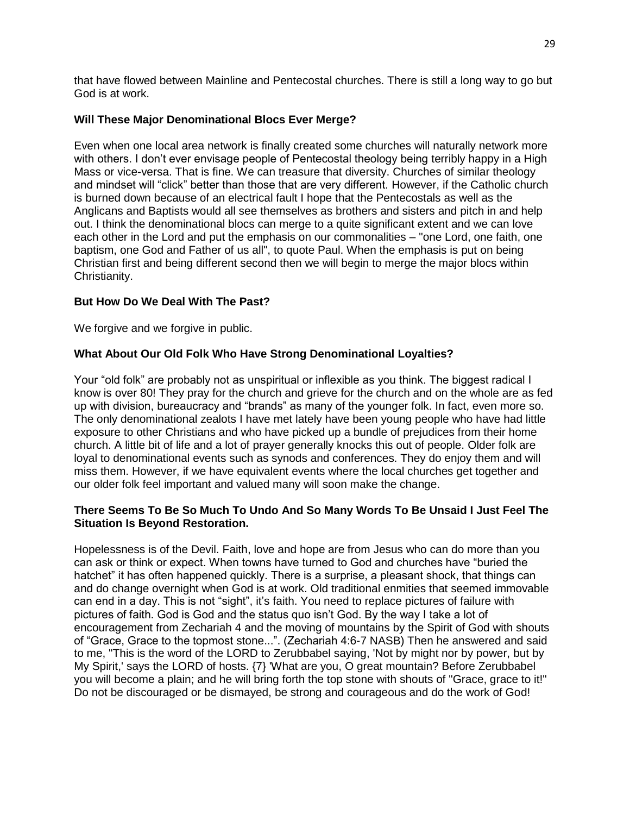that have flowed between Mainline and Pentecostal churches. There is still a long way to go but God is at work.

# **Will These Major Denominational Blocs Ever Merge?**

Even when one local area network is finally created some churches will naturally network more with others. I don't ever envisage people of Pentecostal theology being terribly happy in a High Mass or vice-versa. That is fine. We can treasure that diversity. Churches of similar theology and mindset will "click" better than those that are very different. However, if the Catholic church is burned down because of an electrical fault I hope that the Pentecostals as well as the Anglicans and Baptists would all see themselves as brothers and sisters and pitch in and help out. I think the denominational blocs can merge to a quite significant extent and we can love each other in the Lord and put the emphasis on our commonalities – "one Lord, one faith, one baptism, one God and Father of us all", to quote Paul. When the emphasis is put on being Christian first and being different second then we will begin to merge the major blocs within Christianity.

# **But How Do We Deal With The Past?**

We forgive and we forgive in public.

# **What About Our Old Folk Who Have Strong Denominational Loyalties?**

Your "old folk" are probably not as unspiritual or inflexible as you think. The biggest radical I know is over 80! They pray for the church and grieve for the church and on the whole are as fed up with division, bureaucracy and "brands" as many of the younger folk. In fact, even more so. The only denominational zealots I have met lately have been young people who have had little exposure to other Christians and who have picked up a bundle of prejudices from their home church. A little bit of life and a lot of prayer generally knocks this out of people. Older folk are loyal to denominational events such as synods and conferences. They do enjoy them and will miss them. However, if we have equivalent events where the local churches get together and our older folk feel important and valued many will soon make the change.

# **There Seems To Be So Much To Undo And So Many Words To Be Unsaid I Just Feel The Situation Is Beyond Restoration.**

Hopelessness is of the Devil. Faith, love and hope are from Jesus who can do more than you can ask or think or expect. When towns have turned to God and churches have "buried the hatchet" it has often happened quickly. There is a surprise, a pleasant shock, that things can and do change overnight when God is at work. Old traditional enmities that seemed immovable can end in a day. This is not "sight", it's faith. You need to replace pictures of failure with pictures of faith. God is God and the status quo isn't God. By the way I take a lot of encouragement from Zechariah 4 and the moving of mountains by the Spirit of God with shouts of "Grace, Grace to the topmost stone...". (Zechariah 4:6-7 NASB) Then he answered and said to me, "This is the word of the LORD to Zerubbabel saying, 'Not by might nor by power, but by My Spirit,' says the LORD of hosts. {7} 'What are you, O great mountain? Before Zerubbabel you will become a plain; and he will bring forth the top stone with shouts of "Grace, grace to it!" Do not be discouraged or be dismayed, be strong and courageous and do the work of God!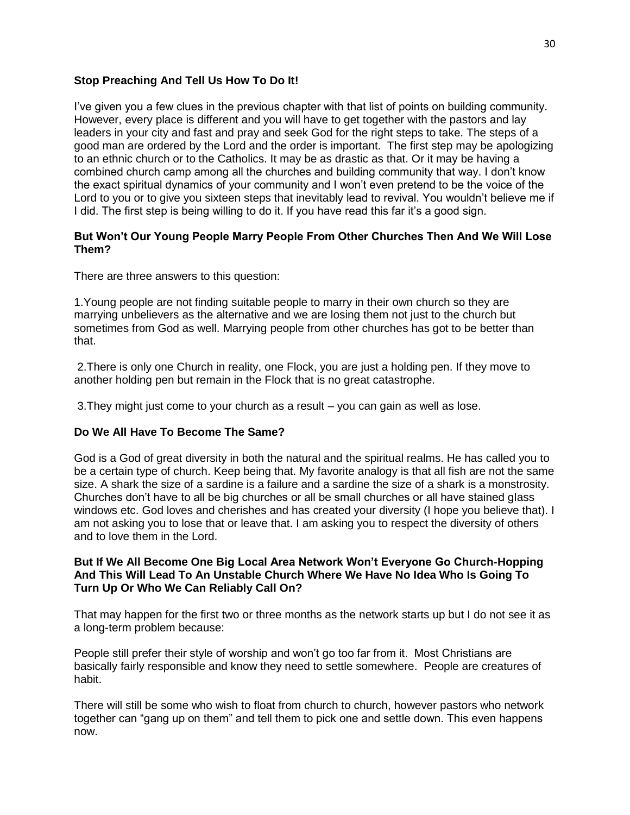# **Stop Preaching And Tell Us How To Do It!**

I've given you a few clues in the previous chapter with that list of points on building community. However, every place is different and you will have to get together with the pastors and lay leaders in your city and fast and pray and seek God for the right steps to take. The steps of a good man are ordered by the Lord and the order is important. The first step may be apologizing to an ethnic church or to the Catholics. It may be as drastic as that. Or it may be having a combined church camp among all the churches and building community that way. I don't know the exact spiritual dynamics of your community and I won't even pretend to be the voice of the Lord to you or to give you sixteen steps that inevitably lead to revival. You wouldn't believe me if I did. The first step is being willing to do it. If you have read this far it's a good sign.

# **But Won't Our Young People Marry People From Other Churches Then And We Will Lose Them?**

There are three answers to this question:

1.Young people are not finding suitable people to marry in their own church so they are marrying unbelievers as the alternative and we are losing them not just to the church but sometimes from God as well. Marrying people from other churches has got to be better than that.

2.There is only one Church in reality, one Flock, you are just a holding pen. If they move to another holding pen but remain in the Flock that is no great catastrophe.

3.They might just come to your church as a result – you can gain as well as lose.

# **Do We All Have To Become The Same?**

God is a God of great diversity in both the natural and the spiritual realms. He has called you to be a certain type of church. Keep being that. My favorite analogy is that all fish are not the same size. A shark the size of a sardine is a failure and a sardine the size of a shark is a monstrosity. Churches don't have to all be big churches or all be small churches or all have stained glass windows etc. God loves and cherishes and has created your diversity (I hope you believe that). I am not asking you to lose that or leave that. I am asking you to respect the diversity of others and to love them in the Lord.

## **But If We All Become One Big Local Area Network Won't Everyone Go Church-Hopping And This Will Lead To An Unstable Church Where We Have No Idea Who Is Going To Turn Up Or Who We Can Reliably Call On?**

That may happen for the first two or three months as the network starts up but I do not see it as a long-term problem because:

People still prefer their style of worship and won't go too far from it. Most Christians are basically fairly responsible and know they need to settle somewhere. People are creatures of habit.

There will still be some who wish to float from church to church, however pastors who network together can "gang up on them" and tell them to pick one and settle down. This even happens now.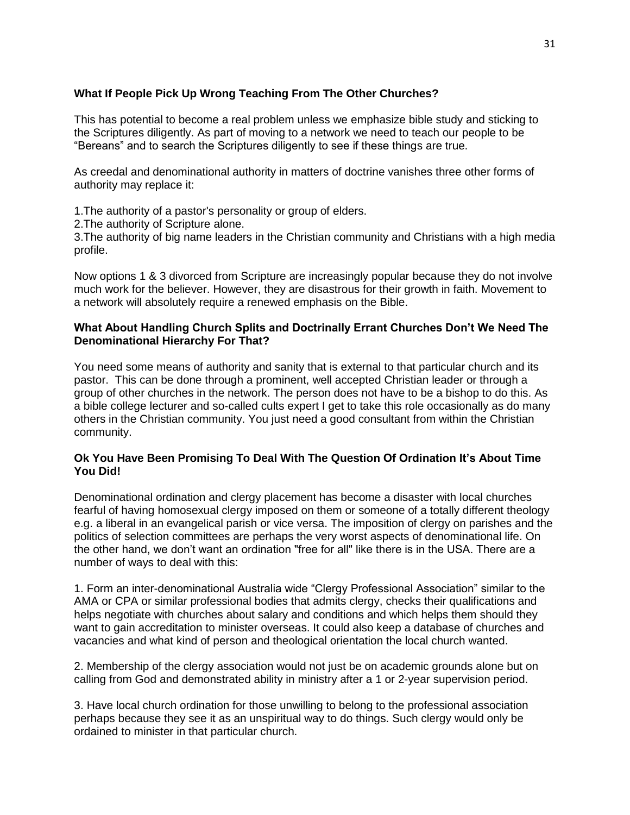# **What If People Pick Up Wrong Teaching From The Other Churches?**

This has potential to become a real problem unless we emphasize bible study and sticking to the Scriptures diligently. As part of moving to a network we need to teach our people to be "Bereans" and to search the Scriptures diligently to see if these things are true.

As creedal and denominational authority in matters of doctrine vanishes three other forms of authority may replace it:

1.The authority of a pastor's personality or group of elders.

2.The authority of Scripture alone.

3.The authority of big name leaders in the Christian community and Christians with a high media profile.

Now options 1 & 3 divorced from Scripture are increasingly popular because they do not involve much work for the believer. However, they are disastrous for their growth in faith. Movement to a network will absolutely require a renewed emphasis on the Bible.

## **What About Handling Church Splits and Doctrinally Errant Churches Don't We Need The Denominational Hierarchy For That?**

You need some means of authority and sanity that is external to that particular church and its pastor. This can be done through a prominent, well accepted Christian leader or through a group of other churches in the network. The person does not have to be a bishop to do this. As a bible college lecturer and so-called cults expert I get to take this role occasionally as do many others in the Christian community. You just need a good consultant from within the Christian community.

## **Ok You Have Been Promising To Deal With The Question Of Ordination It's About Time You Did!**

Denominational ordination and clergy placement has become a disaster with local churches fearful of having homosexual clergy imposed on them or someone of a totally different theology e.g. a liberal in an evangelical parish or vice versa. The imposition of clergy on parishes and the politics of selection committees are perhaps the very worst aspects of denominational life. On the other hand, we don't want an ordination "free for all" like there is in the USA. There are a number of ways to deal with this:

1. Form an inter-denominational Australia wide "Clergy Professional Association" similar to the AMA or CPA or similar professional bodies that admits clergy, checks their qualifications and helps negotiate with churches about salary and conditions and which helps them should they want to gain accreditation to minister overseas. It could also keep a database of churches and vacancies and what kind of person and theological orientation the local church wanted.

2. Membership of the clergy association would not just be on academic grounds alone but on calling from God and demonstrated ability in ministry after a 1 or 2-year supervision period.

3. Have local church ordination for those unwilling to belong to the professional association perhaps because they see it as an unspiritual way to do things. Such clergy would only be ordained to minister in that particular church.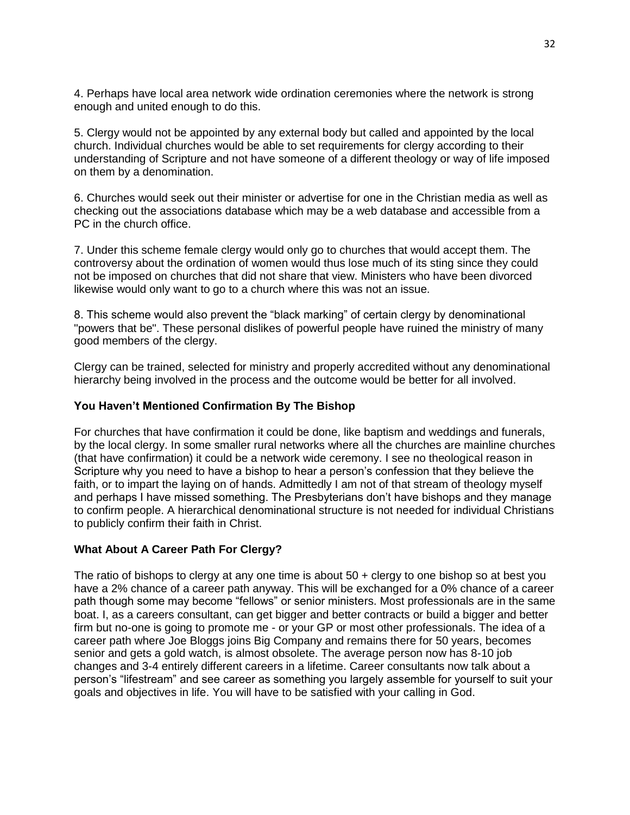4. Perhaps have local area network wide ordination ceremonies where the network is strong enough and united enough to do this.

5. Clergy would not be appointed by any external body but called and appointed by the local church. Individual churches would be able to set requirements for clergy according to their understanding of Scripture and not have someone of a different theology or way of life imposed on them by a denomination.

6. Churches would seek out their minister or advertise for one in the Christian media as well as checking out the associations database which may be a web database and accessible from a PC in the church office.

7. Under this scheme female clergy would only go to churches that would accept them. The controversy about the ordination of women would thus lose much of its sting since they could not be imposed on churches that did not share that view. Ministers who have been divorced likewise would only want to go to a church where this was not an issue.

8. This scheme would also prevent the "black marking" of certain clergy by denominational "powers that be". These personal dislikes of powerful people have ruined the ministry of many good members of the clergy.

Clergy can be trained, selected for ministry and properly accredited without any denominational hierarchy being involved in the process and the outcome would be better for all involved.

# **You Haven't Mentioned Confirmation By The Bishop**

For churches that have confirmation it could be done, like baptism and weddings and funerals, by the local clergy. In some smaller rural networks where all the churches are mainline churches (that have confirmation) it could be a network wide ceremony. I see no theological reason in Scripture why you need to have a bishop to hear a person's confession that they believe the faith, or to impart the laying on of hands. Admittedly I am not of that stream of theology myself and perhaps I have missed something. The Presbyterians don't have bishops and they manage to confirm people. A hierarchical denominational structure is not needed for individual Christians to publicly confirm their faith in Christ.

## **What About A Career Path For Clergy?**

The ratio of bishops to clergy at any one time is about 50 + clergy to one bishop so at best you have a 2% chance of a career path anyway. This will be exchanged for a 0% chance of a career path though some may become "fellows" or senior ministers. Most professionals are in the same boat. I, as a careers consultant, can get bigger and better contracts or build a bigger and better firm but no-one is going to promote me - or your GP or most other professionals. The idea of a career path where Joe Bloggs joins Big Company and remains there for 50 years, becomes senior and gets a gold watch, is almost obsolete. The average person now has 8-10 job changes and 3-4 entirely different careers in a lifetime. Career consultants now talk about a person's "lifestream" and see career as something you largely assemble for yourself to suit your goals and objectives in life. You will have to be satisfied with your calling in God.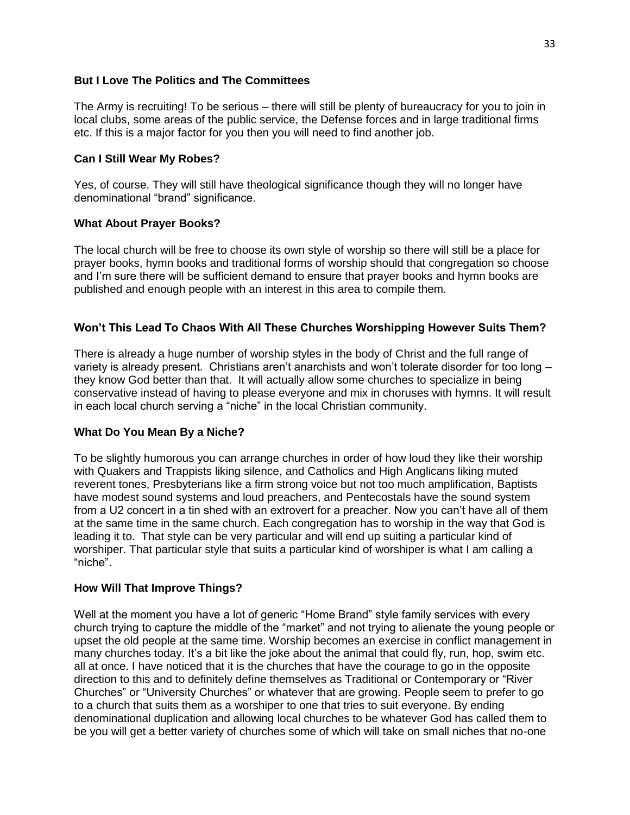## **But I Love The Politics and The Committees**

The Army is recruiting! To be serious – there will still be plenty of bureaucracy for you to join in local clubs, some areas of the public service, the Defense forces and in large traditional firms etc. If this is a major factor for you then you will need to find another job.

## **Can I Still Wear My Robes?**

Yes, of course. They will still have theological significance though they will no longer have denominational "brand" significance.

## **What About Prayer Books?**

The local church will be free to choose its own style of worship so there will still be a place for prayer books, hymn books and traditional forms of worship should that congregation so choose and I'm sure there will be sufficient demand to ensure that prayer books and hymn books are published and enough people with an interest in this area to compile them.

# **Won't This Lead To Chaos With All These Churches Worshipping However Suits Them?**

There is already a huge number of worship styles in the body of Christ and the full range of variety is already present. Christians aren't anarchists and won't tolerate disorder for too long – they know God better than that. It will actually allow some churches to specialize in being conservative instead of having to please everyone and mix in choruses with hymns. It will result in each local church serving a "niche" in the local Christian community.

# **What Do You Mean By a Niche?**

To be slightly humorous you can arrange churches in order of how loud they like their worship with Quakers and Trappists liking silence, and Catholics and High Anglicans liking muted reverent tones, Presbyterians like a firm strong voice but not too much amplification, Baptists have modest sound systems and loud preachers, and Pentecostals have the sound system from a U2 concert in a tin shed with an extrovert for a preacher. Now you can't have all of them at the same time in the same church. Each congregation has to worship in the way that God is leading it to. That style can be very particular and will end up suiting a particular kind of worshiper. That particular style that suits a particular kind of worshiper is what I am calling a "niche".

## **How Will That Improve Things?**

Well at the moment you have a lot of generic "Home Brand" style family services with every church trying to capture the middle of the "market" and not trying to alienate the young people or upset the old people at the same time. Worship becomes an exercise in conflict management in many churches today. It's a bit like the joke about the animal that could fly, run, hop, swim etc. all at once. I have noticed that it is the churches that have the courage to go in the opposite direction to this and to definitely define themselves as Traditional or Contemporary or "River Churches" or "University Churches" or whatever that are growing. People seem to prefer to go to a church that suits them as a worshiper to one that tries to suit everyone. By ending denominational duplication and allowing local churches to be whatever God has called them to be you will get a better variety of churches some of which will take on small niches that no-one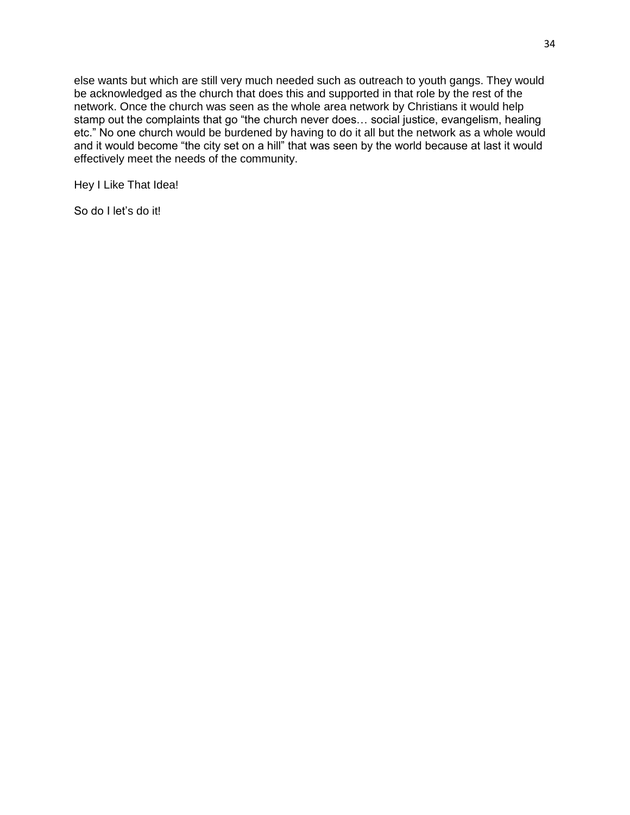else wants but which are still very much needed such as outreach to youth gangs. They would be acknowledged as the church that does this and supported in that role by the rest of the network. Once the church was seen as the whole area network by Christians it would help stamp out the complaints that go "the church never does… social justice, evangelism, healing etc." No one church would be burdened by having to do it all but the network as a whole would and it would become "the city set on a hill" that was seen by the world because at last it would effectively meet the needs of the community.

Hey I Like That Idea!

So do I let's do it!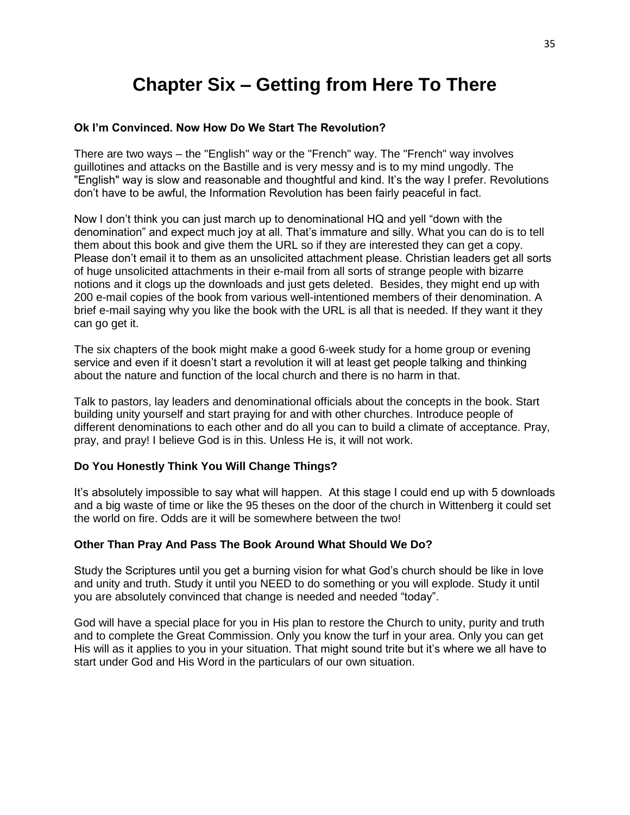# **Chapter Six – Getting from Here To There**

## **Ok I'm Convinced. Now How Do We Start The Revolution?**

There are two ways – the "English" way or the "French" way. The "French" way involves guillotines and attacks on the Bastille and is very messy and is to my mind ungodly. The "English" way is slow and reasonable and thoughtful and kind. It's the way I prefer. Revolutions don't have to be awful, the Information Revolution has been fairly peaceful in fact.

Now I don't think you can just march up to denominational HQ and yell "down with the denomination" and expect much joy at all. That's immature and silly. What you can do is to tell them about this book and give them the URL so if they are interested they can get a copy. Please don't email it to them as an unsolicited attachment please. Christian leaders get all sorts of huge unsolicited attachments in their e-mail from all sorts of strange people with bizarre notions and it clogs up the downloads and just gets deleted. Besides, they might end up with 200 e-mail copies of the book from various well-intentioned members of their denomination. A brief e-mail saying why you like the book with the URL is all that is needed. If they want it they can go get it.

The six chapters of the book might make a good 6-week study for a home group or evening service and even if it doesn't start a revolution it will at least get people talking and thinking about the nature and function of the local church and there is no harm in that.

Talk to pastors, lay leaders and denominational officials about the concepts in the book. Start building unity yourself and start praying for and with other churches. Introduce people of different denominations to each other and do all you can to build a climate of acceptance. Pray, pray, and pray! I believe God is in this. Unless He is, it will not work.

## **Do You Honestly Think You Will Change Things?**

It's absolutely impossible to say what will happen. At this stage I could end up with 5 downloads and a big waste of time or like the 95 theses on the door of the church in Wittenberg it could set the world on fire. Odds are it will be somewhere between the two!

#### **Other Than Pray And Pass The Book Around What Should We Do?**

Study the Scriptures until you get a burning vision for what God's church should be like in love and unity and truth. Study it until you NEED to do something or you will explode. Study it until you are absolutely convinced that change is needed and needed "today".

God will have a special place for you in His plan to restore the Church to unity, purity and truth and to complete the Great Commission. Only you know the turf in your area. Only you can get His will as it applies to you in your situation. That might sound trite but it's where we all have to start under God and His Word in the particulars of our own situation.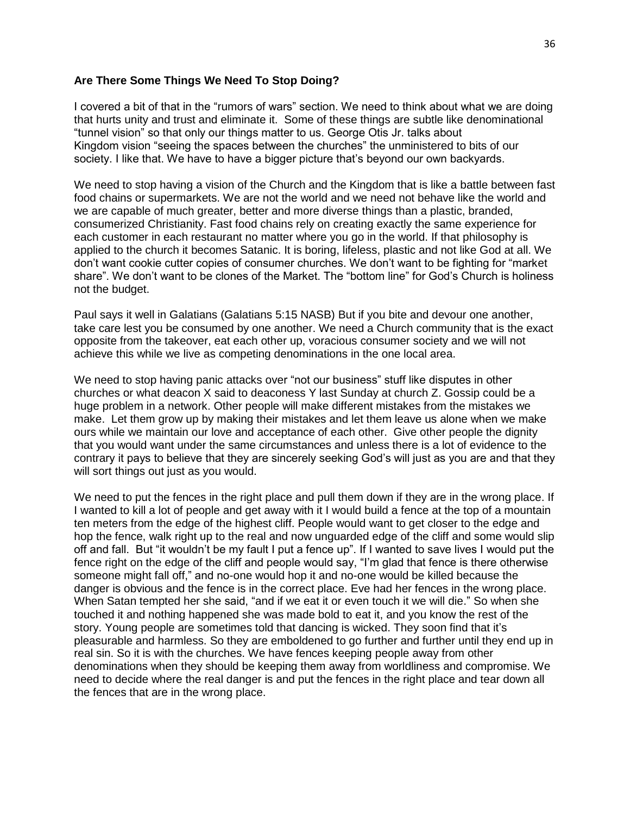## **Are There Some Things We Need To Stop Doing?**

I covered a bit of that in the "rumors of wars" section. We need to think about what we are doing that hurts unity and trust and eliminate it. Some of these things are subtle like denominational "tunnel vision" so that only our things matter to us. George Otis Jr. talks about Kingdom vision "seeing the spaces between the churches" the unministered to bits of our society. I like that. We have to have a bigger picture that's beyond our own backyards.

We need to stop having a vision of the Church and the Kingdom that is like a battle between fast food chains or supermarkets. We are not the world and we need not behave like the world and we are capable of much greater, better and more diverse things than a plastic, branded, consumerized Christianity. Fast food chains rely on creating exactly the same experience for each customer in each restaurant no matter where you go in the world. If that philosophy is applied to the church it becomes Satanic. It is boring, lifeless, plastic and not like God at all. We don't want cookie cutter copies of consumer churches. We don't want to be fighting for "market share". We don't want to be clones of the Market. The "bottom line" for God's Church is holiness not the budget.

Paul says it well in Galatians (Galatians 5:15 NASB) But if you bite and devour one another, take care lest you be consumed by one another. We need a Church community that is the exact opposite from the takeover, eat each other up, voracious consumer society and we will not achieve this while we live as competing denominations in the one local area.

We need to stop having panic attacks over "not our business" stuff like disputes in other churches or what deacon X said to deaconess Y last Sunday at church Z. Gossip could be a huge problem in a network. Other people will make different mistakes from the mistakes we make. Let them grow up by making their mistakes and let them leave us alone when we make ours while we maintain our love and acceptance of each other. Give other people the dignity that you would want under the same circumstances and unless there is a lot of evidence to the contrary it pays to believe that they are sincerely seeking God's will just as you are and that they will sort things out just as you would.

We need to put the fences in the right place and pull them down if they are in the wrong place. If I wanted to kill a lot of people and get away with it I would build a fence at the top of a mountain ten meters from the edge of the highest cliff. People would want to get closer to the edge and hop the fence, walk right up to the real and now unguarded edge of the cliff and some would slip off and fall. But "it wouldn't be my fault I put a fence up". If I wanted to save lives I would put the fence right on the edge of the cliff and people would say, "I'm glad that fence is there otherwise someone might fall off," and no-one would hop it and no-one would be killed because the danger is obvious and the fence is in the correct place. Eve had her fences in the wrong place. When Satan tempted her she said, "and if we eat it or even touch it we will die." So when she touched it and nothing happened she was made bold to eat it, and you know the rest of the story. Young people are sometimes told that dancing is wicked. They soon find that it's pleasurable and harmless. So they are emboldened to go further and further until they end up in real sin. So it is with the churches. We have fences keeping people away from other denominations when they should be keeping them away from worldliness and compromise. We need to decide where the real danger is and put the fences in the right place and tear down all the fences that are in the wrong place.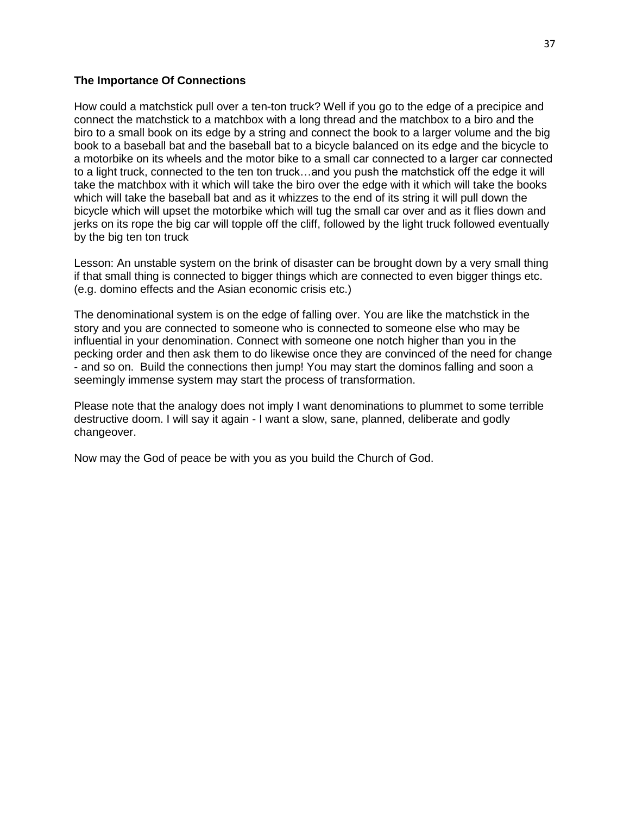## **The Importance Of Connections**

How could a matchstick pull over a ten-ton truck? Well if you go to the edge of a precipice and connect the matchstick to a matchbox with a long thread and the matchbox to a biro and the biro to a small book on its edge by a string and connect the book to a larger volume and the big book to a baseball bat and the baseball bat to a bicycle balanced on its edge and the bicycle to a motorbike on its wheels and the motor bike to a small car connected to a larger car connected to a light truck, connected to the ten ton truck…and you push the matchstick off the edge it will take the matchbox with it which will take the biro over the edge with it which will take the books which will take the baseball bat and as it whizzes to the end of its string it will pull down the bicycle which will upset the motorbike which will tug the small car over and as it flies down and jerks on its rope the big car will topple off the cliff, followed by the light truck followed eventually by the big ten ton truck

Lesson: An unstable system on the brink of disaster can be brought down by a very small thing if that small thing is connected to bigger things which are connected to even bigger things etc. (e.g. domino effects and the Asian economic crisis etc.)

The denominational system is on the edge of falling over. You are like the matchstick in the story and you are connected to someone who is connected to someone else who may be influential in your denomination. Connect with someone one notch higher than you in the pecking order and then ask them to do likewise once they are convinced of the need for change - and so on. Build the connections then jump! You may start the dominos falling and soon a seemingly immense system may start the process of transformation.

Please note that the analogy does not imply I want denominations to plummet to some terrible destructive doom. I will say it again - I want a slow, sane, planned, deliberate and godly changeover.

Now may the God of peace be with you as you build the Church of God.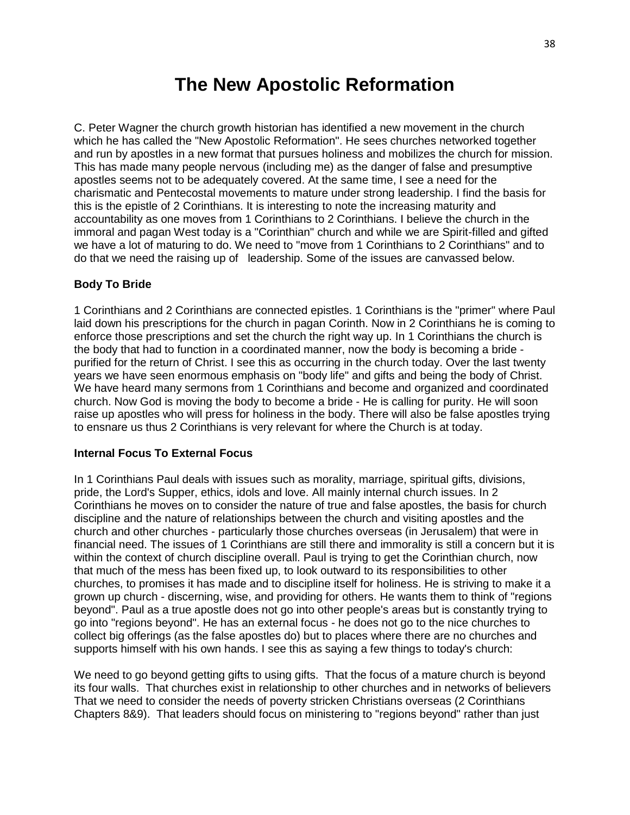# **The New Apostolic Reformation**

C. Peter Wagner the church growth historian has identified a new movement in the church which he has called the "New Apostolic Reformation". He sees churches networked together and run by apostles in a new format that pursues holiness and mobilizes the church for mission. This has made many people nervous (including me) as the danger of false and presumptive apostles seems not to be adequately covered. At the same time, I see a need for the charismatic and Pentecostal movements to mature under strong leadership. I find the basis for this is the epistle of 2 Corinthians. It is interesting to note the increasing maturity and accountability as one moves from 1 Corinthians to 2 Corinthians. I believe the church in the immoral and pagan West today is a "Corinthian" church and while we are Spirit-filled and gifted we have a lot of maturing to do. We need to "move from 1 Corinthians to 2 Corinthians" and to do that we need the raising up of leadership. Some of the issues are canvassed below.

# **Body To Bride**

1 Corinthians and 2 Corinthians are connected epistles. 1 Corinthians is the "primer" where Paul laid down his prescriptions for the church in pagan Corinth. Now in 2 Corinthians he is coming to enforce those prescriptions and set the church the right way up. In 1 Corinthians the church is the body that had to function in a coordinated manner, now the body is becoming a bride purified for the return of Christ. I see this as occurring in the church today. Over the last twenty years we have seen enormous emphasis on "body life" and gifts and being the body of Christ. We have heard many sermons from 1 Corinthians and become and organized and coordinated church. Now God is moving the body to become a bride - He is calling for purity. He will soon raise up apostles who will press for holiness in the body. There will also be false apostles trying to ensnare us thus 2 Corinthians is very relevant for where the Church is at today.

# **Internal Focus To External Focus**

In 1 Corinthians Paul deals with issues such as morality, marriage, spiritual gifts, divisions, pride, the Lord's Supper, ethics, idols and love. All mainly internal church issues. In 2 Corinthians he moves on to consider the nature of true and false apostles, the basis for church discipline and the nature of relationships between the church and visiting apostles and the church and other churches - particularly those churches overseas (in Jerusalem) that were in financial need. The issues of 1 Corinthians are still there and immorality is still a concern but it is within the context of church discipline overall. Paul is trying to get the Corinthian church, now that much of the mess has been fixed up, to look outward to its responsibilities to other churches, to promises it has made and to discipline itself for holiness. He is striving to make it a grown up church - discerning, wise, and providing for others. He wants them to think of "regions beyond". Paul as a true apostle does not go into other people's areas but is constantly trying to go into "regions beyond". He has an external focus - he does not go to the nice churches to collect big offerings (as the false apostles do) but to places where there are no churches and supports himself with his own hands. I see this as saying a few things to today's church:

We need to go beyond getting gifts to using gifts. That the focus of a mature church is beyond its four walls. That churches exist in relationship to other churches and in networks of believers That we need to consider the needs of poverty stricken Christians overseas (2 Corinthians Chapters 8&9). That leaders should focus on ministering to "regions beyond" rather than just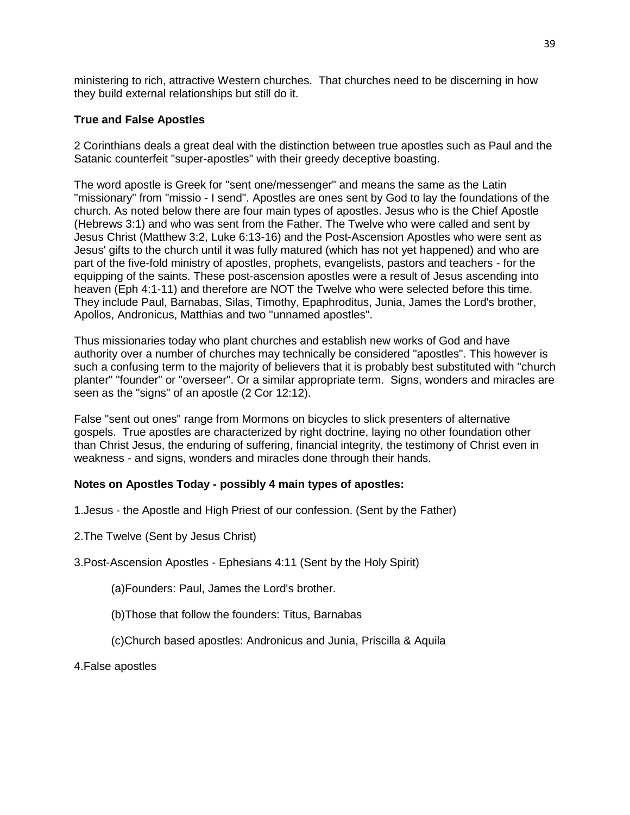ministering to rich, attractive Western churches. That churches need to be discerning in how they build external relationships but still do it.

# **True and False Apostles**

2 Corinthians deals a great deal with the distinction between true apostles such as Paul and the Satanic counterfeit "super-apostles" with their greedy deceptive boasting.

The word apostle is Greek for "sent one/messenger" and means the same as the Latin "missionary" from "missio - I send". Apostles are ones sent by God to lay the foundations of the church. As noted below there are four main types of apostles. Jesus who is the Chief Apostle (Hebrews 3:1) and who was sent from the Father. The Twelve who were called and sent by Jesus Christ (Matthew 3:2, Luke 6:13-16) and the Post-Ascension Apostles who were sent as Jesus' gifts to the church until it was fully matured (which has not yet happened) and who are part of the five-fold ministry of apostles, prophets, evangelists, pastors and teachers - for the equipping of the saints. These post-ascension apostles were a result of Jesus ascending into heaven (Eph 4:1-11) and therefore are NOT the Twelve who were selected before this time. They include Paul, Barnabas, Silas, Timothy, Epaphroditus, Junia, James the Lord's brother, Apollos, Andronicus, Matthias and two "unnamed apostles".

Thus missionaries today who plant churches and establish new works of God and have authority over a number of churches may technically be considered "apostles". This however is such a confusing term to the majority of believers that it is probably best substituted with "church planter" "founder" or "overseer". Or a similar appropriate term. Signs, wonders and miracles are seen as the "signs" of an apostle (2 Cor 12:12).

False "sent out ones" range from Mormons on bicycles to slick presenters of alternative gospels. True apostles are characterized by right doctrine, laying no other foundation other than Christ Jesus, the enduring of suffering, financial integrity, the testimony of Christ even in weakness - and signs, wonders and miracles done through their hands.

# **Notes on Apostles Today - possibly 4 main types of apostles:**

1.Jesus - the Apostle and High Priest of our confession. (Sent by the Father)

2.The Twelve (Sent by Jesus Christ)

3.Post-Ascension Apostles - Ephesians 4:11 (Sent by the Holy Spirit)

(a)Founders: Paul, James the Lord's brother.

(b)Those that follow the founders: Titus, Barnabas

(c)Church based apostles: Andronicus and Junia, Priscilla & Aquila

4.False apostles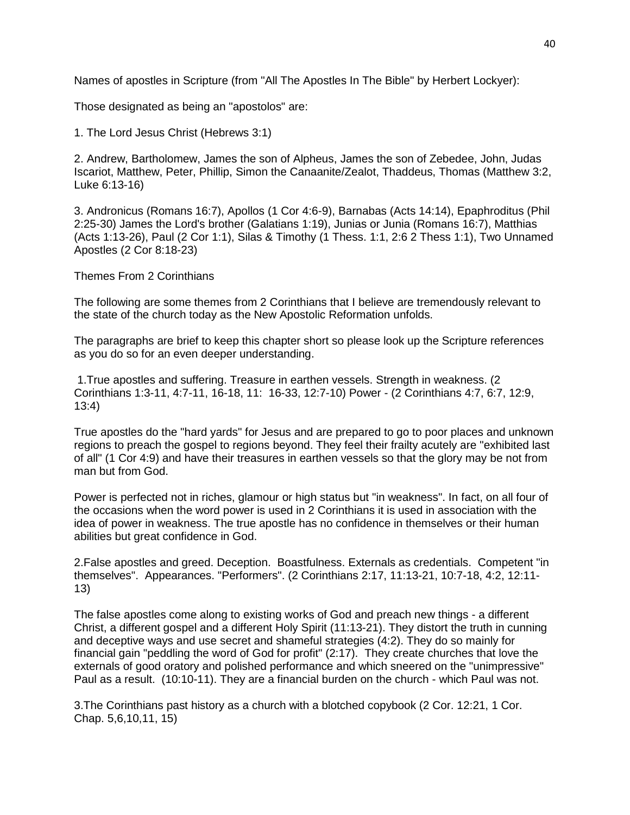Names of apostles in Scripture (from "All The Apostles In The Bible" by Herbert Lockyer):

Those designated as being an "apostolos" are:

1. The Lord Jesus Christ (Hebrews 3:1)

2. Andrew, Bartholomew, James the son of Alpheus, James the son of Zebedee, John, Judas Iscariot, Matthew, Peter, Phillip, Simon the Canaanite/Zealot, Thaddeus, Thomas (Matthew 3:2, Luke 6:13-16)

3. Andronicus (Romans 16:7), Apollos (1 Cor 4:6-9), Barnabas (Acts 14:14), Epaphroditus (Phil 2:25-30) James the Lord's brother (Galatians 1:19), Junias or Junia (Romans 16:7), Matthias (Acts 1:13-26), Paul (2 Cor 1:1), Silas & Timothy (1 Thess. 1:1, 2:6 2 Thess 1:1), Two Unnamed Apostles (2 Cor 8:18-23)

Themes From 2 Corinthians

The following are some themes from 2 Corinthians that I believe are tremendously relevant to the state of the church today as the New Apostolic Reformation unfolds.

The paragraphs are brief to keep this chapter short so please look up the Scripture references as you do so for an even deeper understanding.

1.True apostles and suffering. Treasure in earthen vessels. Strength in weakness. (2 Corinthians 1:3-11, 4:7-11, 16-18, 11: 16-33, 12:7-10) Power - (2 Corinthians 4:7, 6:7, 12:9, 13:4)

True apostles do the "hard yards" for Jesus and are prepared to go to poor places and unknown regions to preach the gospel to regions beyond. They feel their frailty acutely are "exhibited last of all" (1 Cor 4:9) and have their treasures in earthen vessels so that the glory may be not from man but from God.

Power is perfected not in riches, glamour or high status but "in weakness". In fact, on all four of the occasions when the word power is used in 2 Corinthians it is used in association with the idea of power in weakness. The true apostle has no confidence in themselves or their human abilities but great confidence in God.

2.False apostles and greed. Deception. Boastfulness. Externals as credentials. Competent "in themselves". Appearances. "Performers". (2 Corinthians 2:17, 11:13-21, 10:7-18, 4:2, 12:11- 13)

The false apostles come along to existing works of God and preach new things - a different Christ, a different gospel and a different Holy Spirit (11:13-21). They distort the truth in cunning and deceptive ways and use secret and shameful strategies (4:2). They do so mainly for financial gain "peddling the word of God for profit" (2:17). They create churches that love the externals of good oratory and polished performance and which sneered on the "unimpressive" Paul as a result. (10:10-11). They are a financial burden on the church - which Paul was not.

3.The Corinthians past history as a church with a blotched copybook (2 Cor. 12:21, 1 Cor. Chap. 5,6,10,11, 15)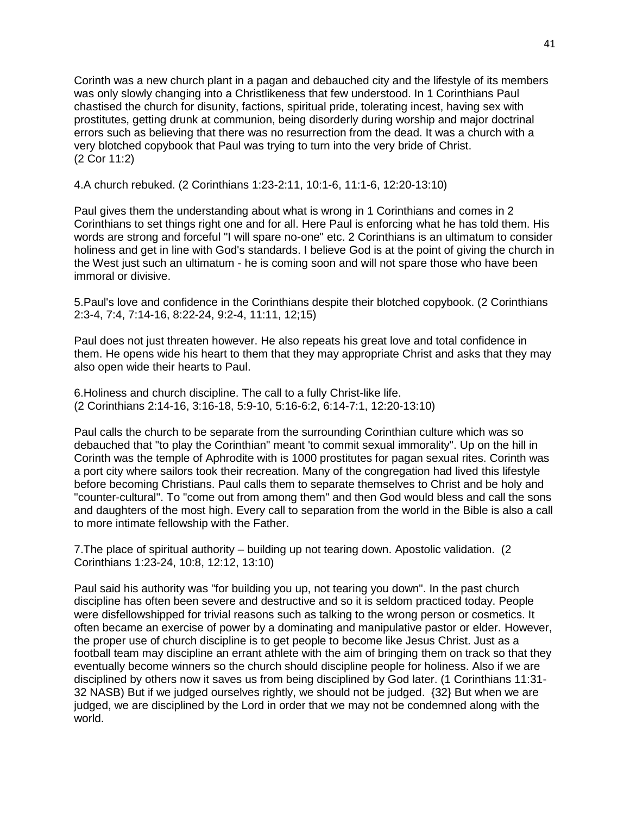Corinth was a new church plant in a pagan and debauched city and the lifestyle of its members was only slowly changing into a Christlikeness that few understood. In 1 Corinthians Paul chastised the church for disunity, factions, spiritual pride, tolerating incest, having sex with prostitutes, getting drunk at communion, being disorderly during worship and major doctrinal errors such as believing that there was no resurrection from the dead. It was a church with a very blotched copybook that Paul was trying to turn into the very bride of Christ. (2 Cor 11:2)

4.A church rebuked. (2 Corinthians 1:23-2:11, 10:1-6, 11:1-6, 12:20-13:10)

Paul gives them the understanding about what is wrong in 1 Corinthians and comes in 2 Corinthians to set things right one and for all. Here Paul is enforcing what he has told them. His words are strong and forceful "I will spare no-one" etc. 2 Corinthians is an ultimatum to consider holiness and get in line with God's standards. I believe God is at the point of giving the church in the West just such an ultimatum - he is coming soon and will not spare those who have been immoral or divisive.

5.Paul's love and confidence in the Corinthians despite their blotched copybook. (2 Corinthians 2:3-4, 7:4, 7:14-16, 8:22-24, 9:2-4, 11:11, 12;15)

Paul does not just threaten however. He also repeats his great love and total confidence in them. He opens wide his heart to them that they may appropriate Christ and asks that they may also open wide their hearts to Paul.

6.Holiness and church discipline. The call to a fully Christ-like life. (2 Corinthians 2:14-16, 3:16-18, 5:9-10, 5:16-6:2, 6:14-7:1, 12:20-13:10)

Paul calls the church to be separate from the surrounding Corinthian culture which was so debauched that "to play the Corinthian" meant 'to commit sexual immorality". Up on the hill in Corinth was the temple of Aphrodite with is 1000 prostitutes for pagan sexual rites. Corinth was a port city where sailors took their recreation. Many of the congregation had lived this lifestyle before becoming Christians. Paul calls them to separate themselves to Christ and be holy and "counter-cultural''. To "come out from among them" and then God would bless and call the sons and daughters of the most high. Every call to separation from the world in the Bible is also a call to more intimate fellowship with the Father.

7.The place of spiritual authority – building up not tearing down. Apostolic validation. (2 Corinthians 1:23-24, 10:8, 12:12, 13:10)

Paul said his authority was "for building you up, not tearing you down". In the past church discipline has often been severe and destructive and so it is seldom practiced today. People were disfellowshipped for trivial reasons such as talking to the wrong person or cosmetics. It often became an exercise of power by a dominating and manipulative pastor or elder. However, the proper use of church discipline is to get people to become like Jesus Christ. Just as a football team may discipline an errant athlete with the aim of bringing them on track so that they eventually become winners so the church should discipline people for holiness. Also if we are disciplined by others now it saves us from being disciplined by God later. (1 Corinthians 11:31- 32 NASB) But if we judged ourselves rightly, we should not be judged. {32} But when we are judged, we are disciplined by the Lord in order that we may not be condemned along with the world.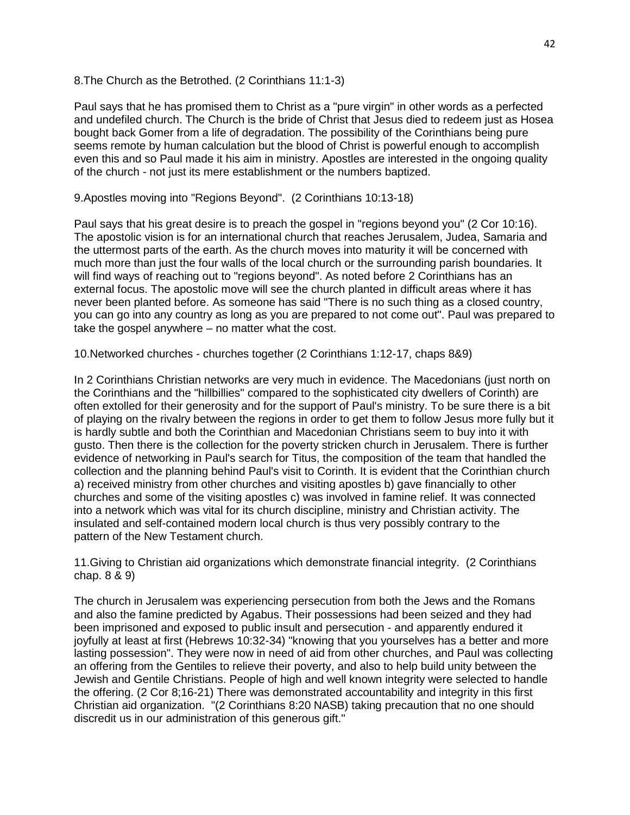8.The Church as the Betrothed. (2 Corinthians 11:1-3)

Paul says that he has promised them to Christ as a "pure virgin" in other words as a perfected and undefiled church. The Church is the bride of Christ that Jesus died to redeem just as Hosea bought back Gomer from a life of degradation. The possibility of the Corinthians being pure seems remote by human calculation but the blood of Christ is powerful enough to accomplish even this and so Paul made it his aim in ministry. Apostles are interested in the ongoing quality of the church - not just its mere establishment or the numbers baptized.

9.Apostles moving into "Regions Beyond". (2 Corinthians 10:13-18)

Paul says that his great desire is to preach the gospel in "regions beyond you" (2 Cor 10:16). The apostolic vision is for an international church that reaches Jerusalem, Judea, Samaria and the uttermost parts of the earth. As the church moves into maturity it will be concerned with much more than just the four walls of the local church or the surrounding parish boundaries. It will find ways of reaching out to "regions beyond". As noted before 2 Corinthians has an external focus. The apostolic move will see the church planted in difficult areas where it has never been planted before. As someone has said "There is no such thing as a closed country, you can go into any country as long as you are prepared to not come out". Paul was prepared to take the gospel anywhere – no matter what the cost.

10.Networked churches - churches together (2 Corinthians 1:12-17, chaps 8&9)

In 2 Corinthians Christian networks are very much in evidence. The Macedonians (just north on the Corinthians and the "hillbillies" compared to the sophisticated city dwellers of Corinth) are often extolled for their generosity and for the support of Paul's ministry. To be sure there is a bit of playing on the rivalry between the regions in order to get them to follow Jesus more fully but it is hardly subtle and both the Corinthian and Macedonian Christians seem to buy into it with gusto. Then there is the collection for the poverty stricken church in Jerusalem. There is further evidence of networking in Paul's search for Titus, the composition of the team that handled the collection and the planning behind Paul's visit to Corinth. It is evident that the Corinthian church a) received ministry from other churches and visiting apostles b) gave financially to other churches and some of the visiting apostles c) was involved in famine relief. It was connected into a network which was vital for its church discipline, ministry and Christian activity. The insulated and self-contained modern local church is thus very possibly contrary to the pattern of the New Testament church.

11.Giving to Christian aid organizations which demonstrate financial integrity. (2 Corinthians chap. 8 & 9)

The church in Jerusalem was experiencing persecution from both the Jews and the Romans and also the famine predicted by Agabus. Their possessions had been seized and they had been imprisoned and exposed to public insult and persecution - and apparently endured it joyfully at least at first (Hebrews 10:32-34) "knowing that you yourselves has a better and more lasting possession". They were now in need of aid from other churches, and Paul was collecting an offering from the Gentiles to relieve their poverty, and also to help build unity between the Jewish and Gentile Christians. People of high and well known integrity were selected to handle the offering. (2 Cor 8;16-21) There was demonstrated accountability and integrity in this first Christian aid organization. "(2 Corinthians 8:20 NASB) taking precaution that no one should discredit us in our administration of this generous gift."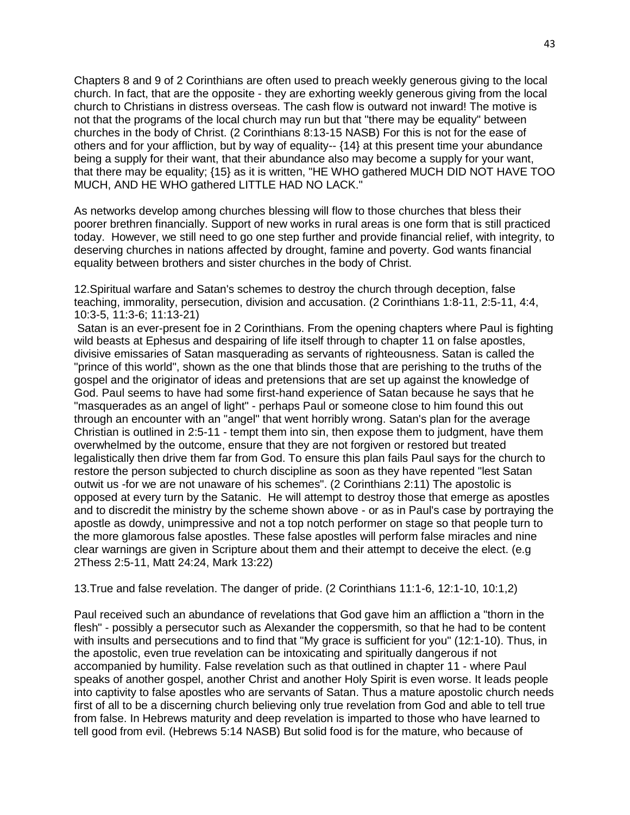Chapters 8 and 9 of 2 Corinthians are often used to preach weekly generous giving to the local church. In fact, that are the opposite - they are exhorting weekly generous giving from the local church to Christians in distress overseas. The cash flow is outward not inward! The motive is not that the programs of the local church may run but that "there may be equality" between churches in the body of Christ. (2 Corinthians 8:13-15 NASB) For this is not for the ease of others and for your affliction, but by way of equality-- {14} at this present time your abundance being a supply for their want, that their abundance also may become a supply for your want, that there may be equality; {15} as it is written, "HE WHO gathered MUCH DID NOT HAVE TOO MUCH, AND HE WHO gathered LITTLE HAD NO LACK."

As networks develop among churches blessing will flow to those churches that bless their poorer brethren financially. Support of new works in rural areas is one form that is still practiced today. However, we still need to go one step further and provide financial relief, with integrity, to deserving churches in nations affected by drought, famine and poverty. God wants financial equality between brothers and sister churches in the body of Christ.

12.Spiritual warfare and Satan's schemes to destroy the church through deception, false teaching, immorality, persecution, division and accusation. (2 Corinthians 1:8-11, 2:5-11, 4:4, 10:3-5, 11:3-6; 11:13-21)

Satan is an ever-present foe in 2 Corinthians. From the opening chapters where Paul is fighting wild beasts at Ephesus and despairing of life itself through to chapter 11 on false apostles, divisive emissaries of Satan masquerading as servants of righteousness. Satan is called the "prince of this world", shown as the one that blinds those that are perishing to the truths of the gospel and the originator of ideas and pretensions that are set up against the knowledge of God. Paul seems to have had some first-hand experience of Satan because he says that he "masquerades as an angel of light" - perhaps Paul or someone close to him found this out through an encounter with an "angel" that went horribly wrong. Satan's plan for the average Christian is outlined in 2:5-11 - tempt them into sin, then expose them to judgment, have them overwhelmed by the outcome, ensure that they are not forgiven or restored but treated legalistically then drive them far from God. To ensure this plan fails Paul says for the church to restore the person subjected to church discipline as soon as they have repented "lest Satan outwit us -for we are not unaware of his schemes". (2 Corinthians 2:11) The apostolic is opposed at every turn by the Satanic. He will attempt to destroy those that emerge as apostles and to discredit the ministry by the scheme shown above - or as in Paul's case by portraying the apostle as dowdy, unimpressive and not a top notch performer on stage so that people turn to the more glamorous false apostles. These false apostles will perform false miracles and nine clear warnings are given in Scripture about them and their attempt to deceive the elect. (e.g 2Thess 2:5-11, Matt 24:24, Mark 13:22)

13.True and false revelation. The danger of pride. (2 Corinthians 11:1-6, 12:1-10, 10:1,2)

Paul received such an abundance of revelations that God gave him an affliction a "thorn in the flesh" - possibly a persecutor such as Alexander the coppersmith, so that he had to be content with insults and persecutions and to find that "My grace is sufficient for you" (12:1-10). Thus, in the apostolic, even true revelation can be intoxicating and spiritually dangerous if not accompanied by humility. False revelation such as that outlined in chapter 11 - where Paul speaks of another gospel, another Christ and another Holy Spirit is even worse. It leads people into captivity to false apostles who are servants of Satan. Thus a mature apostolic church needs first of all to be a discerning church believing only true revelation from God and able to tell true from false. In Hebrews maturity and deep revelation is imparted to those who have learned to tell good from evil. (Hebrews 5:14 NASB) But solid food is for the mature, who because of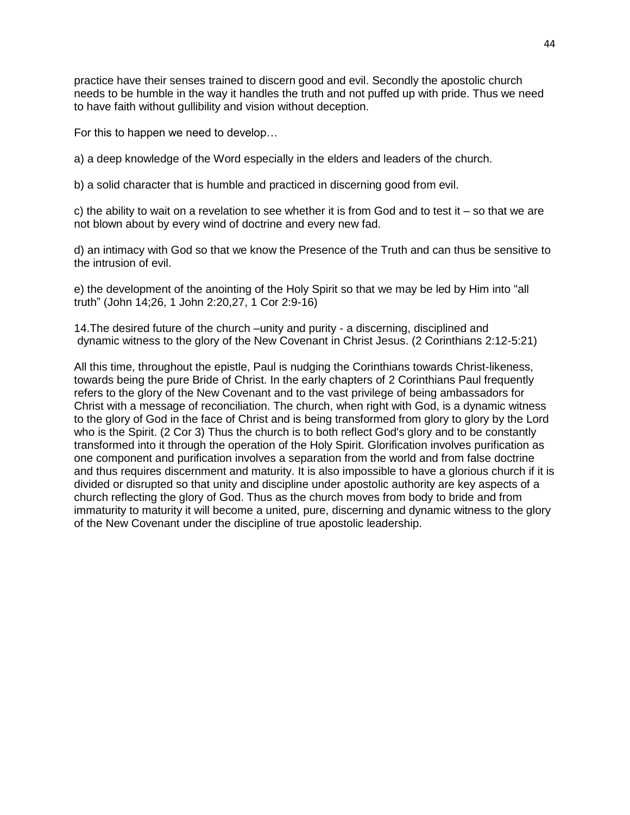practice have their senses trained to discern good and evil. Secondly the apostolic church needs to be humble in the way it handles the truth and not puffed up with pride. Thus we need to have faith without gullibility and vision without deception.

For this to happen we need to develop…

a) a deep knowledge of the Word especially in the elders and leaders of the church.

b) a solid character that is humble and practiced in discerning good from evil.

c) the ability to wait on a revelation to see whether it is from God and to test it  $-$  so that we are not blown about by every wind of doctrine and every new fad.

d) an intimacy with God so that we know the Presence of the Truth and can thus be sensitive to the intrusion of evil.

e) the development of the anointing of the Holy Spirit so that we may be led by Him into "all truth" (John 14;26, 1 John 2:20,27, 1 Cor 2:9-16)

14.The desired future of the church –unity and purity - a discerning, disciplined and dynamic witness to the glory of the New Covenant in Christ Jesus. (2 Corinthians 2:12-5:21)

All this time, throughout the epistle, Paul is nudging the Corinthians towards Christ-likeness, towards being the pure Bride of Christ. In the early chapters of 2 Corinthians Paul frequently refers to the glory of the New Covenant and to the vast privilege of being ambassadors for Christ with a message of reconciliation. The church, when right with God, is a dynamic witness to the glory of God in the face of Christ and is being transformed from glory to glory by the Lord who is the Spirit. (2 Cor 3) Thus the church is to both reflect God's glory and to be constantly transformed into it through the operation of the Holy Spirit. Glorification involves purification as one component and purification involves a separation from the world and from false doctrine and thus requires discernment and maturity. It is also impossible to have a glorious church if it is divided or disrupted so that unity and discipline under apostolic authority are key aspects of a church reflecting the glory of God. Thus as the church moves from body to bride and from immaturity to maturity it will become a united, pure, discerning and dynamic witness to the glory of the New Covenant under the discipline of true apostolic leadership.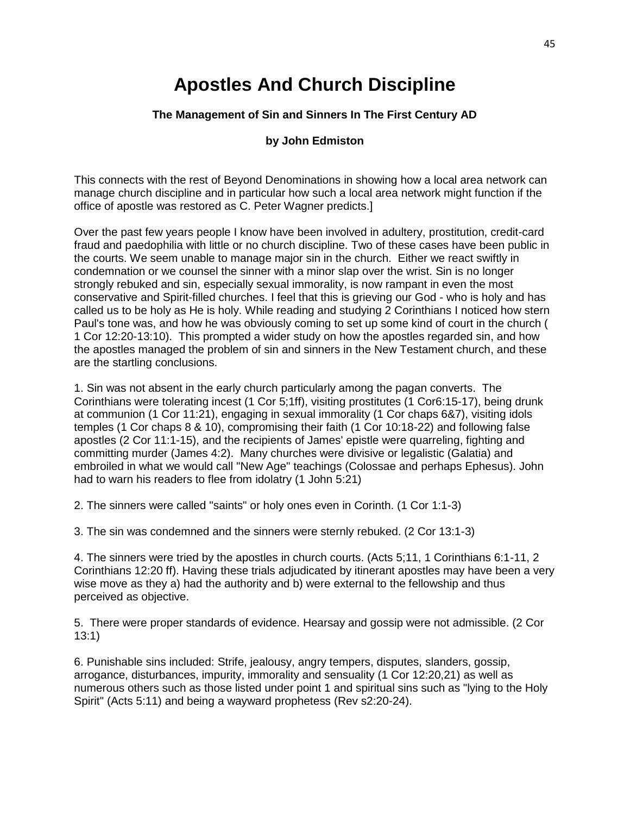# **Apostles And Church Discipline**

## **The Management of Sin and Sinners In The First Century AD**

## **by John Edmiston**

This connects with the rest of Beyond Denominations in showing how a local area network can manage church discipline and in particular how such a local area network might function if the office of apostle was restored as C. Peter Wagner predicts.]

Over the past few years people I know have been involved in adultery, prostitution, credit-card fraud and paedophilia with little or no church discipline. Two of these cases have been public in the courts. We seem unable to manage major sin in the church. Either we react swiftly in condemnation or we counsel the sinner with a minor slap over the wrist. Sin is no longer strongly rebuked and sin, especially sexual immorality, is now rampant in even the most conservative and Spirit-filled churches. I feel that this is grieving our God - who is holy and has called us to be holy as He is holy. While reading and studying 2 Corinthians I noticed how stern Paul's tone was, and how he was obviously coming to set up some kind of court in the church ( 1 Cor 12:20-13:10). This prompted a wider study on how the apostles regarded sin, and how the apostles managed the problem of sin and sinners in the New Testament church, and these are the startling conclusions.

1. Sin was not absent in the early church particularly among the pagan converts. The Corinthians were tolerating incest (1 Cor 5;1ff), visiting prostitutes (1 Cor6:15-17), being drunk at communion (1 Cor 11:21), engaging in sexual immorality (1 Cor chaps 6&7), visiting idols temples (1 Cor chaps 8 & 10), compromising their faith (1 Cor 10:18-22) and following false apostles (2 Cor 11:1-15), and the recipients of James' epistle were quarreling, fighting and committing murder (James 4:2). Many churches were divisive or legalistic (Galatia) and embroiled in what we would call "New Age" teachings (Colossae and perhaps Ephesus). John had to warn his readers to flee from idolatry (1 John 5:21)

2. The sinners were called "saints" or holy ones even in Corinth. (1 Cor 1:1-3)

3. The sin was condemned and the sinners were sternly rebuked. (2 Cor 13:1-3)

4. The sinners were tried by the apostles in church courts. (Acts 5;11, 1 Corinthians 6:1-11, 2 Corinthians 12:20 ff). Having these trials adjudicated by itinerant apostles may have been a very wise move as they a) had the authority and b) were external to the fellowship and thus perceived as objective.

5. There were proper standards of evidence. Hearsay and gossip were not admissible. (2 Cor 13:1)

6. Punishable sins included: Strife, jealousy, angry tempers, disputes, slanders, gossip, arrogance, disturbances, impurity, immorality and sensuality (1 Cor 12:20,21) as well as numerous others such as those listed under point 1 and spiritual sins such as "lying to the Holy Spirit" (Acts 5:11) and being a wayward prophetess (Rev s2:20-24).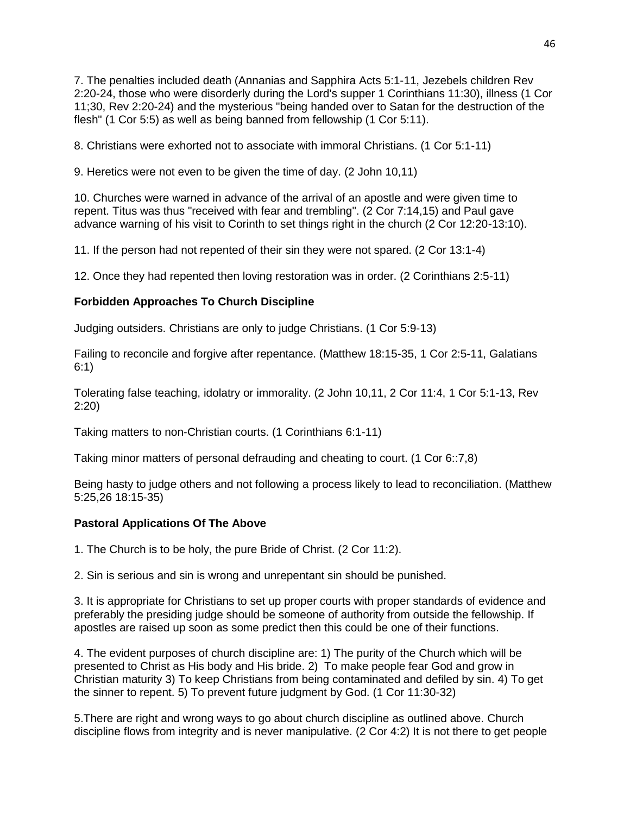7. The penalties included death (Annanias and Sapphira Acts 5:1-11, Jezebels children Rev 2:20-24, those who were disorderly during the Lord's supper 1 Corinthians 11:30), illness (1 Cor 11;30, Rev 2:20-24) and the mysterious "being handed over to Satan for the destruction of the flesh" (1 Cor 5:5) as well as being banned from fellowship (1 Cor 5:11).

8. Christians were exhorted not to associate with immoral Christians. (1 Cor 5:1-11)

9. Heretics were not even to be given the time of day. (2 John 10,11)

10. Churches were warned in advance of the arrival of an apostle and were given time to repent. Titus was thus "received with fear and trembling". (2 Cor 7:14,15) and Paul gave advance warning of his visit to Corinth to set things right in the church (2 Cor 12:20-13:10).

11. If the person had not repented of their sin they were not spared. (2 Cor 13:1-4)

12. Once they had repented then loving restoration was in order. (2 Corinthians 2:5-11)

## **Forbidden Approaches To Church Discipline**

Judging outsiders. Christians are only to judge Christians. (1 Cor 5:9-13)

Failing to reconcile and forgive after repentance. (Matthew 18:15-35, 1 Cor 2:5-11, Galatians 6:1)

Tolerating false teaching, idolatry or immorality. (2 John 10,11, 2 Cor 11:4, 1 Cor 5:1-13, Rev 2:20)

Taking matters to non-Christian courts. (1 Corinthians 6:1-11)

Taking minor matters of personal defrauding and cheating to court. (1 Cor 6::7,8)

Being hasty to judge others and not following a process likely to lead to reconciliation. (Matthew 5:25,26 18:15-35)

## **Pastoral Applications Of The Above**

1. The Church is to be holy, the pure Bride of Christ. (2 Cor 11:2).

2. Sin is serious and sin is wrong and unrepentant sin should be punished.

3. It is appropriate for Christians to set up proper courts with proper standards of evidence and preferably the presiding judge should be someone of authority from outside the fellowship. If apostles are raised up soon as some predict then this could be one of their functions.

4. The evident purposes of church discipline are: 1) The purity of the Church which will be presented to Christ as His body and His bride. 2) To make people fear God and grow in Christian maturity 3) To keep Christians from being contaminated and defiled by sin. 4) To get the sinner to repent. 5) To prevent future judgment by God. (1 Cor 11:30-32)

5.There are right and wrong ways to go about church discipline as outlined above. Church discipline flows from integrity and is never manipulative. (2 Cor 4:2) It is not there to get people